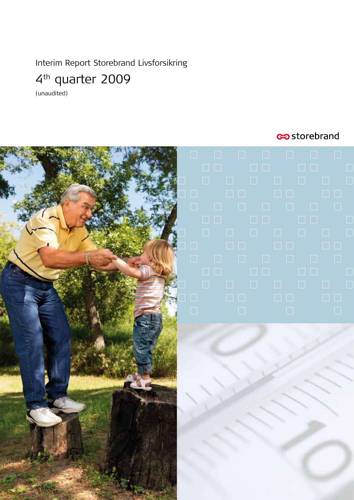Interim Report Storebrand Livsforsikring

# 4th quarter 2009

(unaudited)

## estorebrand

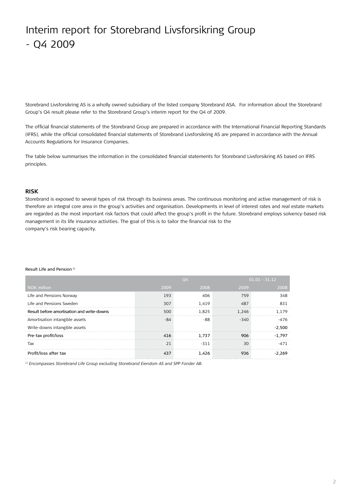# Interim report for Storebrand Livsforsikring Group - Q4 2009

Storebrand Livsforsikring AS is a wholly owned subsidiary of the listed company Storebrand ASA. For information about the Storebrand Group's Q4 result please refer to the Storebrand Group's interim report for the Q4 of 2009.

The official financial statements of the Storebrand Group are prepared in accordance with the International Financial Reporting Standards (IFRS), while the official consolidated financial statements of Storebrand Livsforsikring AS are prepared in accordance with the Annual Accounts Regulations for Insurance Companies.

The table below summarises the information in the consolidated financial statements for Storebrand Livsforsikring AS based on IFRS principles.

#### **Risk**

Storebrand is exposed to several types of risk through its business areas. The continuous monitoring and active management of risk is therefore an integral core area in the group's activities and organisation. Developments in level of interest rates and real estate markets are regarded as the most important risk factors that could affect the group's profit in the future. Storebrand employs solvency-based risk management in its life insurance activities. The goal of this is to tailor the financial risk to the company's risk bearing capacity.

#### Result Life and Pension 1)

|                                            |      | Q <sub>4</sub> |        | $01.01 - 31.12$ |
|--------------------------------------------|------|----------------|--------|-----------------|
| <b>NOK</b> million                         | 2009 | 2008           | 2009   | 2008            |
| Life and Pensions Norway                   | 193  | 406            | 759    | 348             |
| Life and Pensions Sweden                   | 307  | 1.419          | 487    | 831             |
| Result before amortisation and write-downs | 500  | 1.825          | 1,246  | 1.179           |
| Amortisation intangible assets             | -84  | -88            | $-340$ | $-476$          |
| Write-downs intangible assets              |      |                |        | $-2.500$        |
| Pre-tax profit/loss                        | 416  | 1.737          | 906    | $-1.797$        |
| Tax                                        | 21   | $-311$         | 30     | $-471$          |
| Profit/loss after tax                      | 437  | 1.426          | 936    | $-2.269$        |

*1) Encompasses Storebrand Life Group excluding Storebrand Eiendom AS and SPP Fonder AB.*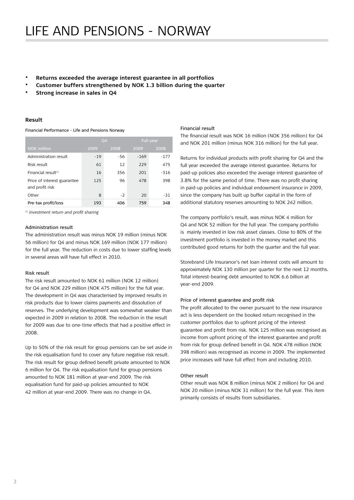- Returns exceeded the average interest guarantee in all portfolios
- Customer buffers strengthened by NOK 1.3 billion during the quarter
- **Strong increase in sales in Q4**

#### **Result**

Financial Performance - Life and Pensions Norway

|                             |       | Q <sub>4</sub> | Full year |        |  |
|-----------------------------|-------|----------------|-----------|--------|--|
| <b>NOK</b> million          | 2009  | 2008           | 2009      | 2008   |  |
| Administration result       | $-19$ | $-56$          | $-169$    | $-177$ |  |
| Risk result                 | 61    | 12             | 229       | 475    |  |
| Financial result $1$        | 16    | 356            | 201       | $-316$ |  |
| Price of interest guarantee | 125   | 96             | 478       | 398    |  |
| and profit risk             |       |                |           |        |  |
| Other                       | 8     | $-2$           | 20        | $-31$  |  |
| Pre-tax profit/loss         | 193   | 406            | 759       | 348    |  |

1) *investment return and profit sharing* 

#### Administration result

The administration result was minus NOK 19 million (minus NOK 56 million) for Q4 and minus NOK 169 million (NOK 177 million) for the full year. The reduction in costs due to lower staffing levels in several areas will have full effect in 2010.

#### Risk result

The risk result amounted to NOK 61 million (NOK 12 million) for Q4 and NOK 229 million (NOK 475 million) for the full year. The development in Q4 was characterised by improved results in risk products due to lower claims payments and dissolution of reserves. The underlying development was somewhat weaker than expected in 2009 in relation to 2008. The reduction in the result for 2009 was due to one-time effects that had a positive effect in 2008.

Up to 50% of the risk result for group pensions can be set aside in the risk equalisation fund to cover any future negative risk result. The risk result for group defined benefit private amounted to NOK 6 million for Q4. The risk equalisation fund for group pensions amounted to NOK 181 million at year-end 2009. The risk equalisation fund for paid-up policies amounted to NOK 42 million at year-end 2009. There was no change in Q4.

#### Financial result

The financial result was NOK 16 million (NOK 356 million) for Q4 and NOK 201 million (minus NOK 316 million) for the full year.

Returns for individual products with profit sharing for Q4 and the full year exceeded the average interest guarantee. Returns for paid-up policies also exceeded the average interest guarantee of 3.8% for the same period of time. There was no profit sharing in paid-up policies and individual endowment insurance in 2009, since the company has built up buffer capital in the form of additional statutory reserves amounting to NOK 242 million.

The company portfolio's result, was minus NOK 4 million for Q4 and NOK 52 million for the full year. The company portfolio is mainly invested in low risk asset classes. Close to 80% of the investment portfolio is invested in the money market and this contributed good returns for both the quarter and the full year.

Storebrand Life Insurance's net loan interest costs will amount to approximately NOK 130 million per quarter for the next 12 months. Total interest-bearing debt amounted to NOK 6.6 billion at year-end 2009.

#### Price of interest guarantee and profit risk

The profit allocated to the owner pursuant to the new insurance act is less dependent on the booked return recognised in the customer portfolios due to upfront pricing of the interest guarantee and profit from risk. NOK 125 million was recognised as income from upfront pricing of the interest guarantee and profit from risk for group defined benefit in Q4. NOK 478 million (NOK 398 million) was recognised as income in 2009. The implemented price increases will have full effect from and including 2010.

#### Other result

Other result was NOK 8 million (minus NOK 2 million) for Q4 and NOK 20 million (minus NOK 31 million) for the full year. This item primarily consists of results from subsidiaries.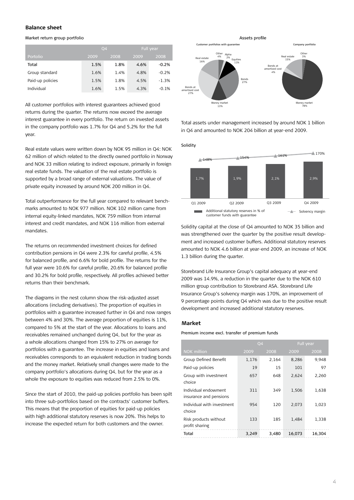#### **Balance sheet**

#### Market return group portfolio

|                  | 04   |      |      | Full year |
|------------------|------|------|------|-----------|
| Portolio         | 2009 | 2008 | 2009 | 2008      |
| Total            | 1.5% | 1.8% | 4.6% | $-0.2%$   |
| Group standard   | 1.6% | 1.4% | 4.8% | $-0.2%$   |
| Paid-up policies | 1.5% | 1.8% | 4.5% | $-1.3%$   |
| Individual       | 1.6% | 1.5% | 4.3% | $-0.1%$   |

All customer portfolios with interest guarantees achieved good returns during the quarter. The returns now exceed the average interest guarantee in every portfolio. The return on invested assets in the company portfolio was 1.7% for Q4 and 5.2% for the full year.

Real estate values were written down by NOK 95 million in Q4: NOK 62 million of which related to the directly owned portfolio in Norway and NOK 33 million relating to indirect exposure, primarily in foreign real estate funds. The valuation of the real estate portfolio is supported by a broad range of external valuations. The value of private equity increased by around NOK 200 million in Q4.

Total outperformance for the full year compared to relevant benchmarks amounted to NOK 977 million. NOK 102 million came from internal equity-linked mandates, NOK 759 million from internal interest and credit mandates, and NOK 116 million from external mandates.

The returns on recommended investment choices for defined contribution pensions in Q4 were 2.3% for careful profile, 4.5% for balanced profile, and 6.6% for bold profile. The returns for the full year were 10.6% for careful profile, 20.6% for balanced profile and 30.2% for bold profile, respectively. All profiles achieved better returns than their benchmark.

The diagrams in the nest column show the risk-adjusted asset allocations (including derivatives). The proportion of equities in portfolios with a guarantee increased further in Q4 and now ranges between 4% and 30%. The average proportion of equities is 11%, compared to 5% at the start of the year. Allocations to loans and receivables remained unchanged during Q4, but for the year as a whole allocations changed from 15% to 27% on average for portfolios with a guarantee. The increase in equities and loans and receivables corresponds to an equivalent reduction in trading bonds and the money market. Relatively small changes were made to the company portfolio's allocations during Q4, but for the year as a whole the exposure to equities was reduced from 2.5% to 0%.

Since the start of 2010, the paid-up policies portfolio has been spilt into three sub-portfolios based on the contracts' customer buffers. This means that the proportion of equities for paid-up policies with high additional statutory reserves is now 20%. This helps to increase the expected return for both customers and the owner.



Total assets under management increased by around NOK 1 billion in Q4 and amounted to NOK 204 billion at year-end 2009.

Solidity



Solidity capital at the close of Q4 amounted to NOK 35 billion and was strengthened over the quarter by the positive result development and increased customer buffers. Additional statutory reserves amounted to NOK 4.6 billion at year-end 2009, an increase of NOK 1.3 billion during the quarter.

Storebrand Life Insurance Group's capital adequacy at year-end 2009 was 14.9%, a reduction in the quarter due to the NOK 610 million group contribution to Storebrand ASA. Storebrand Life Insurance Group's solvency margin was 170%, an improvement of 9 percentage points during Q4 which was due to the positive result development and increased additional statutory reserves.

#### **Market**

Premium income excl. transfer of premium funds

|                                                |       | Q <sub>4</sub> |        | <b>Full year</b> |  |
|------------------------------------------------|-------|----------------|--------|------------------|--|
| <b>NOK</b> million                             | 2009  | 2008           | 2009   | 2008             |  |
| Group Defined Benefit                          | 1,176 | 2.164          | 8,286  | 9.948            |  |
| Paid-up policies                               | 19    | 15             | 101    | 97               |  |
| Group with investment<br>choice                | 657   | 648            | 2,624  | 2,260            |  |
| Individual endowment<br>insurance and pensions | 311   | 349            | 1,506  | 1,638            |  |
| Individual with investment<br>choice           | 954   | 120            | 2,073  | 1,023            |  |
| Risk products without<br>profit sharing        | 133   | 185            | 1.484  | 1,338            |  |
| Total                                          | 3.249 | 3.480          | 16.073 | 16.304           |  |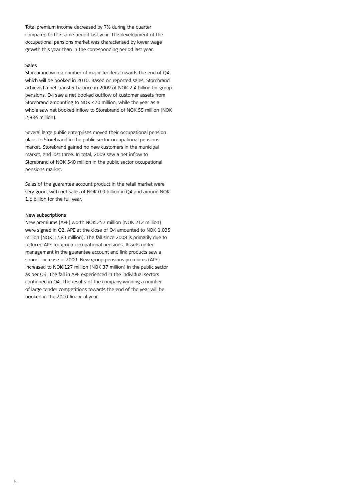Total premium income decreased by 7% during the quarter compared to the same period last year. The development of the occupational pensions market was characterised by lower wage growth this year than in the corresponding period last year.

#### Sales

Storebrand won a number of major tenders towards the end of Q4, which will be booked in 2010. Based on reported sales, Storebrand achieved a net transfer balance in 2009 of NOK 2.4 billion for group pensions. Q4 saw a net booked outflow of customer assets from Storebrand amounting to NOK 470 million, while the year as a whole saw net booked inflow to Storebrand of NOK 55 million (NOK 2,834 million).

Several large public enterprises moved their occupational pension plans to Storebrand in the public sector occupational pensions market. Storebrand gained no new customers in the municipal market, and lost three. In total, 2009 saw a net inflow to Storebrand of NOK 540 million in the public sector occupational pensions market.

Sales of the guarantee account product in the retail market were very good, with net sales of NOK 0.9 billion in Q4 and around NOK 1.6 billion for the full year.

#### New subscriptions

New premiums (APE) worth NOK 257 million (NOK 212 million) were signed in Q2. APE at the close of Q4 amounted to NOK 1,035 million (NOK 1,583 million). The fall since 2008 is primarily due to reduced APE for group occupational pensions. Assets under management in the guarantee account and link products saw a sound increase in 2009. New group pensions premiums (APE) increased to NOK 127 million (NOK 37 million) in the public sector as per Q4. The fall in APE experienced in the individual sectors continued in Q4. The results of the company winning a number of large tender competitions towards the end of the year will be booked in the 2010 financial year.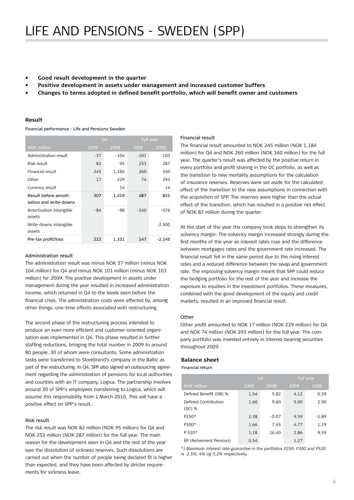- **• Good result development in the quarter**
- **• Positive development in assets under management and increased customer buffers**
- **• Changes to terms adopted in defined benefit portfolio, which will benefit owner and customers**

#### **Result**

Financial performance - Life and Pensions Sweden

|                                                 |       | Q <sub>4</sub> |        | <b>Full year</b> |  |
|-------------------------------------------------|-------|----------------|--------|------------------|--|
| <b>NOK</b> million                              | 2009  | 2008           | 2009   | 2008             |  |
| Administration result                           | $-37$ | $-104$         | $-101$ | $-103$           |  |
| Risk result                                     | 82    | 95             | 253    | 287              |  |
| Financial result                                | 245   | 1,184          | 260    | 340              |  |
| Other                                           | 17    | 229            | 74     | 293              |  |
| Currency result                                 |       | 14             |        | 14               |  |
| Result before amorti-<br>sation and write-downs | 307   | 1,419          | 487    | 831              |  |
| Amortisation intangible<br>assets               | -84   | -88            | $-340$ | -476             |  |
| Write-downs intangible<br>assets                |       |                |        | $-2,500$         |  |
| Pre-tax profit/loss                             | 223   | 1,331          | 147    | -2.145           |  |

#### Administration result

The administration result was minus NOK 37 million (minus NOK 104 million) for Q4 and minus NOK 101 million (minus NOK 103 million) for 2009. The positive development in assets under management during the year resulted in increased administration income, which returned in Q4 to the levels seen before the financial crisis. The administration costs were affected by, among other things, one-time effects associated with restructuring.

The second phase of the restructuring process intended to produce an even more efficient and customer-oriented organisation was implemented in Q4. This phase resulted in further staffing reductions, bringing the total number in 2009 to around 80 people, 30 of whom were consultants. Some administration tasks were transferred to Storebrand's company in the Baltic as part of the restructuring. In Q4, SPP also signed an outsourcing agreement regarding the administration of pensions for local authorities and counties with an IT company, Logica. The partnership involves around 30 of SPP's employees transferring to Logica, which will assume this responsibility from 1 March 2010. This will have a positive effect on SPP's result.

#### Risk result

The risk result was NOK 82 million (NOK 95 million) for Q4 and NOK 253 million (NOK 287 million) for the full year. The main reason for the development seen in Q4 and the rest of the year was the dissolution of sickness reserves. Such dissolutions are carried out when the number of people being declared fit is higher than expected, and they have been affected by stricter requirements for sickness leave.

#### Financial result

The financial result amounted to NOK 245 million (NOK 1,184 million) for Q4 and NOK 260 million (NOK 340 million) for the full year. The quarter's result was affected by the positive return in every portfolio and profit sharing in the DC portfolio, as well as the transition to new mortality assumptions for the calculation of insurance reserves. Reserves were set aside for the calculated effect of the transition to the new assumptions in connection with the acquisition of SPP. The reserves were higher than the actual effect of the transition, which has resulted in a positive net effect of NOK 82 million during the quarter.

At the start of the year the company took steps to strengthen its solvency margin. The solvency margin increased strongly during the first months of the year as interest rates rose and the difference between mortgages rates and the government rate increased. The financial result fell in the same period due to the rising interest rates and a reduced difference between the swap and government rate. The improving solvency margin meant that SPP could reduce the hedging portfolio for the rest of the year and increase the exposure to equities in the investment portfolios. These measures, combined with the good development of the equity and credit markets, resulted in an improved financial result.

#### **Other**

Other profit amounted to NOK 17 million (NOK 229 million) for Q4 and NOK 74 million (NOK 293 million) for the full year. The company portfolio was invested entirely in interest-bearing securities throughout 2009.

#### **Balance sheet**

Financial return

|                                  |      | Q <sub>4</sub> | Full year |         |  |
|----------------------------------|------|----------------|-----------|---------|--|
| <b>NOK</b> million               | 2009 | 2008           | 2009      | 2008    |  |
| Defined Benefit (DB) %           | 1.54 | 5.82           | 4.12      | 0.59    |  |
| Defined Contribution<br>$(DC)$ % | 1.60 | 9.60           | 5.00      | 2.90    |  |
| P250*                            | 2.38 | $-0.07$        | 9.59      | $-5.89$ |  |
| P300*                            | 1.66 | 7.45           | 4.77      | 1.19    |  |
| P 520*                           | 1.18 | 16.40          | 2.86      | 9.59    |  |
| RP (Retirement Pension)          | 0.54 |                | 1.27      |         |  |

*\*) Maximum interest rate guarantee in the portfolios P250, P300 and P520 is 2,5%, 4% og 5,2% respectively.*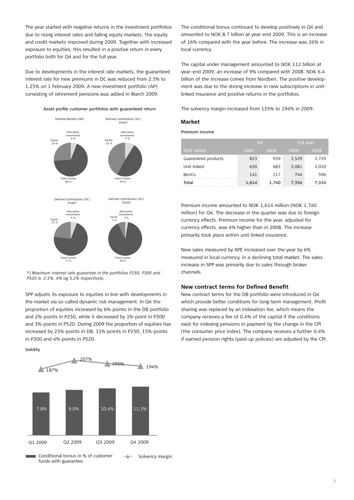The year started with negative returns in the investment portfolios due to rising interest rates and falling equity markets. The equity and credit markets improved during 2009. Together with increased exposure to equities, this resulted in a positive return in every portfolio both for Q4 and for the full year.

Due to developments in the interest rate markets, the guaranteed interest rate for new premiums in DC was reduced from 2.5% to 1.25% on 1 February 2009. A new investment portfolio (AP) consisting of retirement pensions was added in March 2009.

Asset profile customer portfolios with guaranteed return



*\*) Maximum interest rate guarantee in the portfolios P250, P300 and P520 is 2,5%, 4% og 5,2% respectively.*

SPP adjusts its exposure to equities in line with developments in the market via so-called dynamic risk management. In Q4 the proportion of equities increased by 6%-points in the DB portfolio and 2%-points in P250, while it decreased by 1%-point in P300 and 3%-points in P520. During 2009 the proportion of equities has increased by 23%-points in DB, 31%-points in P250, 15%-points in P300 and 4%-points in P520.

Solidity



The conditional bonus continued to develop positively in Q4 and amounted to NOK 8.7 billion at year-end 2009. This is an increase of 16% compared with the year before. The increase was 26% in local currency.

The capital under management amounted to NOK 112 billion at year-end 2009, an increase of 9% compared with 2008. NOK 6.4 billion of the increase comes from Nordben. The positive development was due to the strong increase in new subscriptions in unitlinked insurance and positive returns in the portfolios.

The solvency margin increased from 135% to 194% in 2009.

#### **Market**

Premium income

|                     |       | 04    | Full year |       |  |
|---------------------|-------|-------|-----------|-------|--|
| <b>NOK</b> million  | 2009  | 2008  | 2009      | 2008  |  |
| Guaranteed products | 823   | 939   | 3,529     | 3,729 |  |
| Unit linked         | 650   | 683   | 3.081     | 3,010 |  |
| BenCo               | 141   | 117   | 744       | 596   |  |
| Total               | 1.614 | 1.740 | 7.354     | 7.334 |  |

Premium income amounted to NOK 1,614 million (NOK 1,740 million) for Q4. The decrease in the quarter was due to foreign currency effects. Premium income for the year, adjusted for currency effects, was 4% higher than in 2008. The increase primarily took place within unit-linked insurance.

New sales measured by APE increased over the year by 6% measured in local currency, in a declining total market. The sales increase in SPP was primarily due to sales through broker channels.

#### **New contract terms for Defined Benefit**

New contract terms for the DB portfolio were introduced in Q4 which provide better conditions for long-term management. Profit sharing was replaced by an indexation fee, which means the company receives a fee of 0.4% of the capital if the conditions exist for indexing pensions in payment by the change in the CPI (the consumer price index). The company receives a further 0.4% if earned pension rights (paid-up policies) are adjusted by the CPI.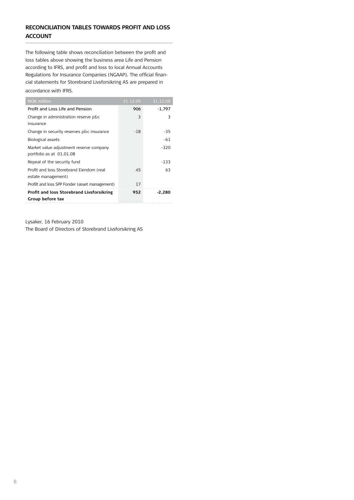## **reconciliation tables towards profit and loss account**

The following table shows reconciliation between the profit and loss tables above showing the business area Life and Pension according to IFRS, and profit and loss to local Annual Accounts Regulations for Insurance Companies (NGAAP). The official financial statements for Storebrand Livsforsikring AS are prepared in accordance with IFRS.

| <b>NOK</b> million                                | 31.12.09 | 31.12.08 |
|---------------------------------------------------|----------|----------|
| Profit and Loss Life and Pension                  | 906      | $-1,797$ |
| Change in administration reserve p&c<br>insurance | 3        | 3        |
| Change in security reserves p&c insurance         | $-18$    | -35      |
| <b>Biological assets</b>                          |          | -61      |
| Market value adjustment reserve company           |          | $-320$   |
| portfolio as at 01.01.08                          |          |          |
| Repeal of the security fund                       |          | $-133$   |
| Profit and loss Storebrand Eiendom (real          | 45       | 63       |
| estate management)                                |          |          |
| Profilt and loss SPP Fonder (asset management)    | 17       |          |
| Profit and loss Storebrand Livsforsikring         | 952      | -2,280   |
| Group before tax                                  |          |          |

Lysaker, 16 February 2010 The Board of Directors of Storebrand Livsforsikring AS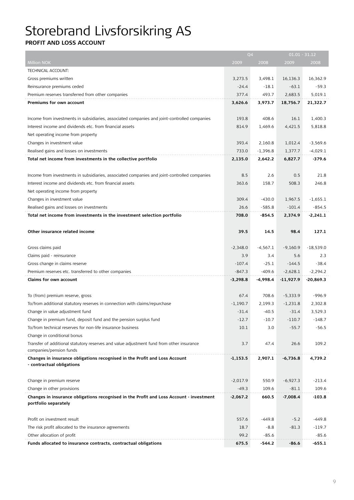# Storebrand Livsforsikring AS

## **Profit and loss account**

|                                                                                              |            | Q <sub>4</sub> |             | $01.01 - 31.12$ |
|----------------------------------------------------------------------------------------------|------------|----------------|-------------|-----------------|
| <b>Million NOK</b>                                                                           | 2009       | 2008           | 2009        | 2008            |
| TECHNICAL ACCOUNT:                                                                           |            |                |             |                 |
| Gross premiums written                                                                       | 3,273.5    | 3,498.1        | 16,136.3    | 16,362.9        |
| Reinsurance premiums ceded                                                                   | $-24.4$    | $-18.1$        | $-63.1$     | $-59.3$         |
| Premium reserves transferred from other companies                                            | 377.4      | 493.7          | 2,683.5     | 5,019.1         |
| Premiums for own account                                                                     | 3,626.6    | 3,973.7        | 18,756.7    | 21,322.7        |
|                                                                                              |            |                |             |                 |
| Income from investments in subsidiaries, associated companies and joint-controlled companies | 193.8      | 408.6          | 16.1        | 1,400.3         |
| Interest income and dividends etc. from financial assets                                     | 814.9      | 1.469.6        | 4,421.5     | 5.818.8         |
| Net operating income from property                                                           |            |                |             |                 |
| Changes in investment value                                                                  | 393.4      | 2,160.8        | 1,012.4     | $-3,569.6$      |
| Realised gains and losses on investments                                                     | 733.0      | $-1,396.8$     | 1,377.7     | $-4,029.1$      |
| Total net income from investments in the collective portfolio                                | 2,135.0    | 2,642.2        | 6,827.7     | $-379.6$        |
|                                                                                              |            |                |             |                 |
| Income from investments in subsidiaries, associated companies and joint-controlled companies | 8.5        | 2.6            | 0.5         | 21.8            |
| Interest income and dividends etc. from financial assets                                     | 363.6      | 158.7          | 508.3       | 246.8           |
| Net operating income from property                                                           |            |                |             |                 |
| Changes in investment value                                                                  | 309.4      | $-430.0$       | 1,967.5     | $-1,655.1$      |
| Realised gains and losses on investments                                                     | 26.6       | $-585.8$       | $-101.4$    | $-854.5$        |
| Total net income from investments in the investment selection portfolio                      | 708.0      | $-854.5$       | 2,374.9     | $-2,241.1$      |
|                                                                                              |            |                |             |                 |
| Other insurance related income                                                               | 39.5       | 14.5           | 98.4        | 127.1           |
|                                                                                              |            |                |             |                 |
| Gross claims paid                                                                            | $-2,348.0$ | $-4,567.1$     | $-9,160.9$  | $-18,539.0$     |
| Claims paid - reinsurance                                                                    | 3.9        | 3.4            | 5.6         | 2.3             |
| Gross change in claims reserve                                                               | $-107.4$   | $-25.1$        | $-144.5$    | $-38.4$         |
| Premium reserves etc. transferred to other companies                                         | $-847.3$   | $-409.6$       | $-2,628.1$  | $-2,294.2$      |
| Claims for own account                                                                       | $-3,298.8$ | -4,998.4       | $-11,927.9$ | $-20,869.3$     |
|                                                                                              |            |                |             |                 |
| To (from) premium reserve, gross                                                             | 67.4       | 708.6          | $-5,333.9$  | $-996.9$        |
| To/from additional statutory reserves in connection with claims/repurchase                   | $-1,190.7$ | 2,199.3        | $-1,231.8$  | 2,302.8         |
| Change in value adjustment fund                                                              | $-31.4$    | $-40.5$        | $-31.4$     | 3,529.3         |
| Change in premium fund, deposit fund and the pension surplus fund                            | $-12.7$    | $-10.7$        | $-110.7$    | $-148.7$        |
| To/from technical reserves for non-life insurance business                                   | 10.1       | 3.0            | $-55.7$     | $-56.5$         |
| Change in conditional bonus                                                                  |            |                |             |                 |
| Transfer of additional statutory reserves and value adjustment fund from other insurance     | 3.7        | 47.4           | 26.6        | 109.2           |
| companies/pension funds                                                                      |            |                |             |                 |
| Changes in insurance obligations recognised in the Profit and Loss Account                   | $-1,153.5$ | 2,907.1        | $-6,736.8$  | 4,739.2         |
| - contractual obligations                                                                    |            |                |             |                 |
|                                                                                              |            |                |             |                 |
| Change in premium reserve                                                                    | $-2,017.9$ | 550.9          | $-6,927.3$  | $-213.4$        |
| Change in other provisions                                                                   | $-49.3$    | 109.6          | $-81.1$     | 109.6           |
| Changes in insurance obligations recognised in the Profit and Loss Account - investment      | -2,067.2   | 660.5          | $-7,008.4$  | $-103.8$        |
| portfolio separately                                                                         |            |                |             |                 |
|                                                                                              |            |                |             |                 |
| Profit on investment result                                                                  | 557.6      | -449.8         | $-5.2$      | -449.8          |
| The risk profit allocated to the insurance agreements                                        | 18.7       | -8.8           | $-81.3$     | $-119.7$        |
| Other allocation of profit                                                                   | 99.2       | $-85.6$        |             | $-85.6$         |
| Funds allocated to insurance contracts, contractual obligations                              | 675.5      | -544.2         | $-86.6$     | -655.1          |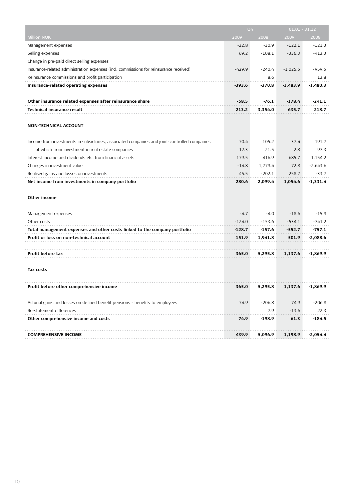|                                                                                              | Q4       |          | $01.01 - 31.12$ |            |
|----------------------------------------------------------------------------------------------|----------|----------|-----------------|------------|
| <b>Million NOK</b>                                                                           | 2009     | 2008     | 2009            | 2008       |
| Management expenses                                                                          | $-32.8$  | $-30.9$  | $-122.1$        | $-121.3$   |
| Selling expenses                                                                             | 69.2     | $-108.1$ | $-336.3$        | $-413.3$   |
| Change in pre-paid direct selling expenses                                                   |          |          |                 |            |
| Insurance-related administration expenses (incl. commissions for reinsurance received)       | $-429.9$ | $-240.4$ | $-1,025.5$      | $-959.5$   |
| Reinsurance commissions and profit participation                                             |          | 8.6      |                 | 13.8       |
| Insurance-related operating expenses                                                         | -393.6   | $-370.8$ | $-1,483.9$      | $-1.480.3$ |
|                                                                                              |          |          |                 |            |
| Other insurance related expenses after reinsurance share                                     | $-58.5$  | $-76.1$  | $-178.4$        | $-241.1$   |
| Technical insurance result                                                                   | 213.2    | 3,354.0  | 635.7           | 218.7      |
| <b>NON-TECHNICAL ACCOUNT</b>                                                                 |          |          |                 |            |
| Income from investments in subsidiaries, associated companies and joint-controlled companies | 70.4     | 105.2    | 37.4            | 191.7      |
| of which from investment in real estate companies                                            | 12.3     | 21.5     | 2.8             | 97.3       |
| Interest income and dividends etc. from financial assets                                     | 179.5    | 416.9    | 685.7           | 1,154.2    |
| Changes in investment value                                                                  | $-14.8$  | 1,779.4  | 72.8            | $-2,643.6$ |
| Realised gains and losses on investments                                                     | 45.5     | $-202.1$ | 258.7           | $-33.7$    |
| Net income from investments in company portfolio                                             | 280.6    | 2,099.4  | 1,054.6         | $-1,331.4$ |
| Other income                                                                                 |          |          |                 |            |
| Management expenses                                                                          | $-4.7$   | $-4.0$   | $-18.6$         | $-15.9$    |
| Other costs                                                                                  | $-124.0$ | $-153.6$ | $-534.1$        | $-741.2$   |
| Total management expenses and other costs linked to the company portfolio                    | $-128.7$ | -157.6   | -552.7          | -757.1     |
| Profit or loss on non-technical account                                                      | 151.9    | 1,941.8  | 501.9           | $-2,088.6$ |
|                                                                                              |          |          |                 |            |
| Profit before tax                                                                            | 365.0    | 5,295.8  | 1,137.6         | -1,869.9   |
| Tax costs                                                                                    |          |          |                 |            |
| Profit before other comprehencive income                                                     | 365.0    | 5,295.8  | 1,137.6         | $-1,869.9$ |
| Acturial gains and losses on defined benefit pensions - benefits to employees                | 74.9     | $-206.8$ | 74.9            | $-206.8$   |
| Re-statement differences                                                                     |          | 7.9      | $-13.6$         | 22.3       |
| Other comprehensive income and costs                                                         | 74.9     | $-198.9$ | 61.3            | -184.5     |
| <b>COMPREHENSIVE INCOME</b>                                                                  | 439.9    | 5,096.9  | 1,198.9         | -2,054.4   |
|                                                                                              |          |          |                 |            |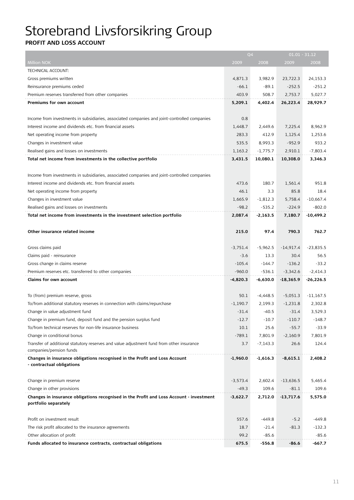# Storebrand Livsforsikring Group

## **Profit and loss account**

|                                                                                              |            | Q <sub>4</sub> |             | $01.01 - 31.12$ |
|----------------------------------------------------------------------------------------------|------------|----------------|-------------|-----------------|
| Million NOK                                                                                  | 2009       | 2008           | 2009        | 2008            |
| <b>TECHNICAL ACCOUNT:</b>                                                                    |            |                |             |                 |
| Gross premiums written                                                                       | 4,871.3    | 3,982.9        | 23,722.3    | 24,153.3        |
| Reinsurance premiums ceded                                                                   | $-66.1$    | $-89.1$        | $-252.5$    | $-251.2$        |
| Premium reserves transferred from other companies                                            | 403.9      | 508.7          | 2,753.7     | 5,027.7         |
| Premiums for own account                                                                     | 5,209.1    | 4,402.4        | 26,223.4    | 28,929.7        |
|                                                                                              |            |                |             |                 |
| Income from investments in subsidiaries, associated companies and joint-controlled companies | 0.8        |                |             |                 |
| Interest income and dividends etc. from financial assets                                     | 1,448.7    | 2,449.6        | 7,225.4     | 8,962.9         |
| Net operating income from property                                                           | 283.3      | 412.9          | 1,125.4     | 1,253.6         |
| Changes in investment value                                                                  | 535.5      | 8,993.3        | $-952.9$    | 933.2           |
| Realised gains and losses on investments                                                     | 1,163.2    | $-1,775.7$     | 2,910.1     | $-7,803.4$      |
| Total net income from investments in the collective portfolio                                | 3,431.5    | 10,080.1       | 10,308.0    | 3,346.3         |
|                                                                                              |            |                |             |                 |
| Income from investments in subsidiaries, associated companies and joint-controlled companies |            |                |             |                 |
| Interest income and dividends etc. from financial assets                                     | 473.6      | 180.7          | 1,561.4     | 951.8           |
| Net operating income from property                                                           | 46.1       | 3.3            | 85.8        | 18.4            |
| Changes in investment value                                                                  | 1,665.9    | $-1,812.3$     | 5,758.4     | $-10,667.4$     |
| Realised gains and losses on investments                                                     | $-98.2$    | $-535.2$       | $-224.9$    | $-802.0$        |
| Total net income from investments in the investment selection portfolio                      | 2,087.4    | $-2,163.5$     | 7,180.7     | $-10,499.2$     |
|                                                                                              |            |                |             |                 |
| Other insurance related income                                                               | 215.0      | 97.4           | 790.3       | 762.7           |
|                                                                                              |            |                |             |                 |
| Gross claims paid                                                                            | $-3,751.4$ | $-5,962.5$     | $-14,917.4$ | $-23,835.5$     |
| Claims paid - reinsurance                                                                    | $-3.6$     | 13.3           | 30.4        | 56.5            |
| Gross change in claims reserve                                                               | $-105.4$   | -144.7         | $-136.2$    | $-33.2$         |
| Premium reserves etc. transferred to other companies                                         | $-960.0$   | -536.1         | $-3,342.6$  | $-2,414.3$      |
| Claims for own account                                                                       | $-4,820.3$ | $-6,630.0$     | $-18,365.9$ | $-26,226.5$     |
|                                                                                              |            |                |             |                 |
| To (from) premium reserve, gross                                                             | 50.1       | $-4,448.5$     | $-5,051.3$  | $-11,167.5$     |
| To/from additional statutory reserves in connection with claims/repurchase                   | $-1,190.7$ | 2,199.3        | $-1,231.8$  | 2,302.8         |
| Change in value adjustment fund                                                              | $-31.4$    | $-40.5$        | $-31.4$     | 3,529.3         |
| Change in premium fund, deposit fund and the pension surplus fund                            | $-12.7$    | $-10.7$        | $-110.7$    | $-148.7$        |
| To/from technical reserves for non-life insurance business                                   | 10.1       | 25.6           | $-55.7$     | $-33.9$         |
| Change in conditional bonus                                                                  | $-789.1$   | 7,801.9        | $-2,160.9$  | 7,801.9         |
| Transfer of additional statutory reserves and value adjustment fund from other insurance     | 3.7        | $-7,143.3$     | 26.6        | 124.4           |
| companies/pension funds                                                                      |            |                |             |                 |
| Changes in insurance obligations recognised in the Profit and Loss Account                   | $-1,960.0$ | $-1,616.3$     | -8,615.1    | 2,408.2         |
| - contractual obligations                                                                    |            |                |             |                 |
|                                                                                              |            |                |             |                 |
| Change in premium reserve                                                                    | $-3,573.4$ | 2,602.4        | $-13,636.5$ | 5,465.4         |
| Change in other provisions                                                                   | $-49.3$    | 109.6          | $-81.1$     | 109.6           |
| Changes in insurance obligations recognised in the Profit and Loss Account - investment      | -3,622.7   | 2,712.0        | -13,717.6   | 5,575.0         |
| portfolio separately                                                                         |            |                |             |                 |
|                                                                                              |            |                |             |                 |
| Profit on investment result                                                                  | 557.6      | -449.8         | $-5.2$      | $-449.8$        |
| The risk profit allocated to the insurance agreements                                        | 18.7       | $-21.4$        | $-81.3$     | $-132.3$        |
| Other allocation of profit                                                                   | 99.2       | $-85.6$        |             | $-85.6$         |
| Funds allocated to insurance contracts, contractual obligations                              | 675.5      | $-556.8$       | $-86.6$     | -667.7          |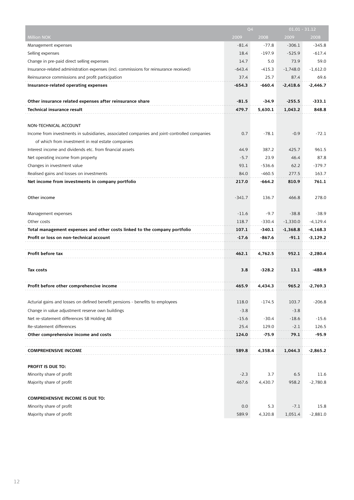| <b>Million NOK</b><br>2009<br>2008<br>2009<br>2008<br>$-306.1$<br>$-345.8$<br>Management expenses<br>$-81.4$<br>$-77.8$<br>$-525.9$<br>$-617.4$<br>Selling expenses<br>18.4<br>$-197.9$<br>Change in pre-paid direct selling expenses<br>14.7<br>5.0<br>73.9<br>59.0<br>$-415.3$<br>$-1.612.0$<br>Insurance-related administration expenses (incl. commissions for reinsurance received)<br>$-643.4$<br>$-1,748.0$<br>Reinsurance commissions and profit participation<br>25.7<br>87.4<br>69.6<br>37.4<br>Insurance-related operating expenses<br>$-654.3$<br>-660.4<br>$-2,418.6$<br>$-2,446.7$<br>Other insurance related expenses after reinsurance share<br>$-81.5$<br>$-333.1$<br>$-34.9$<br>$-255.5$<br>479.7<br>848.8<br><b>Technical insurance result</b><br>5,630.1<br>1,043.2<br>NON-TECHNICAL ACCOUNT<br>0.7<br>$-78.1$<br>$-72.1$<br>Income from investments in subsidiaries, associated companies and joint-controlled companies<br>$-0.9$<br>of which from investment in real estate companies<br>Interest income and dividends etc. from financial assets<br>387.2<br>961.5<br>44.9<br>425.7<br>$-5.7$<br>23.9<br>46.4<br>87.8<br>Net operating income from property<br>$-379.7$<br>Changes in investment value<br>93.1<br>$-536.6$<br>62.2<br>Realised gains and losses on investments<br>84.0<br>$-460.5$<br>277.5<br>163.7<br>Net income from investments in company portfolio<br>217.0<br>$-664.2$<br>810.9<br>761.1<br>Other income<br>$-341.7$<br>136.7<br>466.8<br>278.0<br>Management expenses<br>$-11.6$<br>$-9.7$<br>$-38.8$<br>$-38.9$<br>Other costs<br>118.7<br>-330.4<br>$-1,330.0$<br>$-4,129.4$<br>Total management expenses and other costs linked to the company portfolio<br>107.1<br>$-340.1$<br>-4,168.3<br>$-1,368.8$<br>Profit or loss on non-technical account<br>$-17.6$<br>$-867.6$<br>$-91.1$<br>$-3,129.2$<br>4,762.5<br>$-2,280.4$<br>Profit before tax<br>462.1<br>952.1<br>3.8<br>$-328.2$<br>$-488.9$<br>Tax costs<br>13.1<br>Profit before other comprehencive income<br>965.2<br>$-2,769.3$<br>465.9<br>4,434.3<br>Acturial gains and losses on defined benefit pensions - benefits to employees<br>118.0<br>$-174.5$<br>103.7<br>$-206.8$<br>$-3.8$<br>Change in value adjustment reserve own buildings<br>$-3.8$<br>$-15.6$<br>$-30.4$<br>$-18.6$<br>Net re-statement differences SB Holding AB<br>$-15.6$<br>Re-statement differences<br>25.4<br>129.0<br>$-2.1$<br>126.5<br>Other comprehensive income and costs<br>124.0<br>$-75.9$<br>79.1<br>-95.9<br><b>COMPREHENSIVE INCOME</b><br>589.8<br>4,358.4<br>1,044.3<br>-2,865.2<br>PROFIT IS DUE TO:<br>3.7<br>11.6<br>Minority share of profit<br>$-2.3$<br>6.5<br>$-2,780.8$<br>Majority share of profit<br>467.6<br>4,430.7<br>958.2<br><b>COMPREHENSIVE INCOME IS DUE TO:</b><br>0.0<br>5.3<br>15.8<br>Minority share of profit<br>$-7.1$ |                          | Q <sub>4</sub> |         | $01.01 - 31.12$ |            |
|----------------------------------------------------------------------------------------------------------------------------------------------------------------------------------------------------------------------------------------------------------------------------------------------------------------------------------------------------------------------------------------------------------------------------------------------------------------------------------------------------------------------------------------------------------------------------------------------------------------------------------------------------------------------------------------------------------------------------------------------------------------------------------------------------------------------------------------------------------------------------------------------------------------------------------------------------------------------------------------------------------------------------------------------------------------------------------------------------------------------------------------------------------------------------------------------------------------------------------------------------------------------------------------------------------------------------------------------------------------------------------------------------------------------------------------------------------------------------------------------------------------------------------------------------------------------------------------------------------------------------------------------------------------------------------------------------------------------------------------------------------------------------------------------------------------------------------------------------------------------------------------------------------------------------------------------------------------------------------------------------------------------------------------------------------------------------------------------------------------------------------------------------------------------------------------------------------------------------------------------------------------------------------------------------------------------------------------------------------------------------------------------------------------------------------------------------------------------------------------------------------------------------------------------------------------------------------------------------------------------------------------------------------------------------------------------------------------------------------------------------------------------------------------------------------------------------------------------------|--------------------------|----------------|---------|-----------------|------------|
|                                                                                                                                                                                                                                                                                                                                                                                                                                                                                                                                                                                                                                                                                                                                                                                                                                                                                                                                                                                                                                                                                                                                                                                                                                                                                                                                                                                                                                                                                                                                                                                                                                                                                                                                                                                                                                                                                                                                                                                                                                                                                                                                                                                                                                                                                                                                                                                                                                                                                                                                                                                                                                                                                                                                                                                                                                                    |                          |                |         |                 |            |
|                                                                                                                                                                                                                                                                                                                                                                                                                                                                                                                                                                                                                                                                                                                                                                                                                                                                                                                                                                                                                                                                                                                                                                                                                                                                                                                                                                                                                                                                                                                                                                                                                                                                                                                                                                                                                                                                                                                                                                                                                                                                                                                                                                                                                                                                                                                                                                                                                                                                                                                                                                                                                                                                                                                                                                                                                                                    |                          |                |         |                 |            |
|                                                                                                                                                                                                                                                                                                                                                                                                                                                                                                                                                                                                                                                                                                                                                                                                                                                                                                                                                                                                                                                                                                                                                                                                                                                                                                                                                                                                                                                                                                                                                                                                                                                                                                                                                                                                                                                                                                                                                                                                                                                                                                                                                                                                                                                                                                                                                                                                                                                                                                                                                                                                                                                                                                                                                                                                                                                    |                          |                |         |                 |            |
|                                                                                                                                                                                                                                                                                                                                                                                                                                                                                                                                                                                                                                                                                                                                                                                                                                                                                                                                                                                                                                                                                                                                                                                                                                                                                                                                                                                                                                                                                                                                                                                                                                                                                                                                                                                                                                                                                                                                                                                                                                                                                                                                                                                                                                                                                                                                                                                                                                                                                                                                                                                                                                                                                                                                                                                                                                                    |                          |                |         |                 |            |
|                                                                                                                                                                                                                                                                                                                                                                                                                                                                                                                                                                                                                                                                                                                                                                                                                                                                                                                                                                                                                                                                                                                                                                                                                                                                                                                                                                                                                                                                                                                                                                                                                                                                                                                                                                                                                                                                                                                                                                                                                                                                                                                                                                                                                                                                                                                                                                                                                                                                                                                                                                                                                                                                                                                                                                                                                                                    |                          |                |         |                 |            |
|                                                                                                                                                                                                                                                                                                                                                                                                                                                                                                                                                                                                                                                                                                                                                                                                                                                                                                                                                                                                                                                                                                                                                                                                                                                                                                                                                                                                                                                                                                                                                                                                                                                                                                                                                                                                                                                                                                                                                                                                                                                                                                                                                                                                                                                                                                                                                                                                                                                                                                                                                                                                                                                                                                                                                                                                                                                    |                          |                |         |                 |            |
|                                                                                                                                                                                                                                                                                                                                                                                                                                                                                                                                                                                                                                                                                                                                                                                                                                                                                                                                                                                                                                                                                                                                                                                                                                                                                                                                                                                                                                                                                                                                                                                                                                                                                                                                                                                                                                                                                                                                                                                                                                                                                                                                                                                                                                                                                                                                                                                                                                                                                                                                                                                                                                                                                                                                                                                                                                                    |                          |                |         |                 |            |
|                                                                                                                                                                                                                                                                                                                                                                                                                                                                                                                                                                                                                                                                                                                                                                                                                                                                                                                                                                                                                                                                                                                                                                                                                                                                                                                                                                                                                                                                                                                                                                                                                                                                                                                                                                                                                                                                                                                                                                                                                                                                                                                                                                                                                                                                                                                                                                                                                                                                                                                                                                                                                                                                                                                                                                                                                                                    |                          |                |         |                 |            |
|                                                                                                                                                                                                                                                                                                                                                                                                                                                                                                                                                                                                                                                                                                                                                                                                                                                                                                                                                                                                                                                                                                                                                                                                                                                                                                                                                                                                                                                                                                                                                                                                                                                                                                                                                                                                                                                                                                                                                                                                                                                                                                                                                                                                                                                                                                                                                                                                                                                                                                                                                                                                                                                                                                                                                                                                                                                    |                          |                |         |                 |            |
|                                                                                                                                                                                                                                                                                                                                                                                                                                                                                                                                                                                                                                                                                                                                                                                                                                                                                                                                                                                                                                                                                                                                                                                                                                                                                                                                                                                                                                                                                                                                                                                                                                                                                                                                                                                                                                                                                                                                                                                                                                                                                                                                                                                                                                                                                                                                                                                                                                                                                                                                                                                                                                                                                                                                                                                                                                                    |                          |                |         |                 |            |
|                                                                                                                                                                                                                                                                                                                                                                                                                                                                                                                                                                                                                                                                                                                                                                                                                                                                                                                                                                                                                                                                                                                                                                                                                                                                                                                                                                                                                                                                                                                                                                                                                                                                                                                                                                                                                                                                                                                                                                                                                                                                                                                                                                                                                                                                                                                                                                                                                                                                                                                                                                                                                                                                                                                                                                                                                                                    |                          |                |         |                 |            |
|                                                                                                                                                                                                                                                                                                                                                                                                                                                                                                                                                                                                                                                                                                                                                                                                                                                                                                                                                                                                                                                                                                                                                                                                                                                                                                                                                                                                                                                                                                                                                                                                                                                                                                                                                                                                                                                                                                                                                                                                                                                                                                                                                                                                                                                                                                                                                                                                                                                                                                                                                                                                                                                                                                                                                                                                                                                    |                          |                |         |                 |            |
|                                                                                                                                                                                                                                                                                                                                                                                                                                                                                                                                                                                                                                                                                                                                                                                                                                                                                                                                                                                                                                                                                                                                                                                                                                                                                                                                                                                                                                                                                                                                                                                                                                                                                                                                                                                                                                                                                                                                                                                                                                                                                                                                                                                                                                                                                                                                                                                                                                                                                                                                                                                                                                                                                                                                                                                                                                                    |                          |                |         |                 |            |
|                                                                                                                                                                                                                                                                                                                                                                                                                                                                                                                                                                                                                                                                                                                                                                                                                                                                                                                                                                                                                                                                                                                                                                                                                                                                                                                                                                                                                                                                                                                                                                                                                                                                                                                                                                                                                                                                                                                                                                                                                                                                                                                                                                                                                                                                                                                                                                                                                                                                                                                                                                                                                                                                                                                                                                                                                                                    |                          |                |         |                 |            |
|                                                                                                                                                                                                                                                                                                                                                                                                                                                                                                                                                                                                                                                                                                                                                                                                                                                                                                                                                                                                                                                                                                                                                                                                                                                                                                                                                                                                                                                                                                                                                                                                                                                                                                                                                                                                                                                                                                                                                                                                                                                                                                                                                                                                                                                                                                                                                                                                                                                                                                                                                                                                                                                                                                                                                                                                                                                    |                          |                |         |                 |            |
|                                                                                                                                                                                                                                                                                                                                                                                                                                                                                                                                                                                                                                                                                                                                                                                                                                                                                                                                                                                                                                                                                                                                                                                                                                                                                                                                                                                                                                                                                                                                                                                                                                                                                                                                                                                                                                                                                                                                                                                                                                                                                                                                                                                                                                                                                                                                                                                                                                                                                                                                                                                                                                                                                                                                                                                                                                                    |                          |                |         |                 |            |
|                                                                                                                                                                                                                                                                                                                                                                                                                                                                                                                                                                                                                                                                                                                                                                                                                                                                                                                                                                                                                                                                                                                                                                                                                                                                                                                                                                                                                                                                                                                                                                                                                                                                                                                                                                                                                                                                                                                                                                                                                                                                                                                                                                                                                                                                                                                                                                                                                                                                                                                                                                                                                                                                                                                                                                                                                                                    |                          |                |         |                 |            |
|                                                                                                                                                                                                                                                                                                                                                                                                                                                                                                                                                                                                                                                                                                                                                                                                                                                                                                                                                                                                                                                                                                                                                                                                                                                                                                                                                                                                                                                                                                                                                                                                                                                                                                                                                                                                                                                                                                                                                                                                                                                                                                                                                                                                                                                                                                                                                                                                                                                                                                                                                                                                                                                                                                                                                                                                                                                    |                          |                |         |                 |            |
|                                                                                                                                                                                                                                                                                                                                                                                                                                                                                                                                                                                                                                                                                                                                                                                                                                                                                                                                                                                                                                                                                                                                                                                                                                                                                                                                                                                                                                                                                                                                                                                                                                                                                                                                                                                                                                                                                                                                                                                                                                                                                                                                                                                                                                                                                                                                                                                                                                                                                                                                                                                                                                                                                                                                                                                                                                                    |                          |                |         |                 |            |
|                                                                                                                                                                                                                                                                                                                                                                                                                                                                                                                                                                                                                                                                                                                                                                                                                                                                                                                                                                                                                                                                                                                                                                                                                                                                                                                                                                                                                                                                                                                                                                                                                                                                                                                                                                                                                                                                                                                                                                                                                                                                                                                                                                                                                                                                                                                                                                                                                                                                                                                                                                                                                                                                                                                                                                                                                                                    |                          |                |         |                 |            |
|                                                                                                                                                                                                                                                                                                                                                                                                                                                                                                                                                                                                                                                                                                                                                                                                                                                                                                                                                                                                                                                                                                                                                                                                                                                                                                                                                                                                                                                                                                                                                                                                                                                                                                                                                                                                                                                                                                                                                                                                                                                                                                                                                                                                                                                                                                                                                                                                                                                                                                                                                                                                                                                                                                                                                                                                                                                    |                          |                |         |                 |            |
|                                                                                                                                                                                                                                                                                                                                                                                                                                                                                                                                                                                                                                                                                                                                                                                                                                                                                                                                                                                                                                                                                                                                                                                                                                                                                                                                                                                                                                                                                                                                                                                                                                                                                                                                                                                                                                                                                                                                                                                                                                                                                                                                                                                                                                                                                                                                                                                                                                                                                                                                                                                                                                                                                                                                                                                                                                                    |                          |                |         |                 |            |
|                                                                                                                                                                                                                                                                                                                                                                                                                                                                                                                                                                                                                                                                                                                                                                                                                                                                                                                                                                                                                                                                                                                                                                                                                                                                                                                                                                                                                                                                                                                                                                                                                                                                                                                                                                                                                                                                                                                                                                                                                                                                                                                                                                                                                                                                                                                                                                                                                                                                                                                                                                                                                                                                                                                                                                                                                                                    |                          |                |         |                 |            |
|                                                                                                                                                                                                                                                                                                                                                                                                                                                                                                                                                                                                                                                                                                                                                                                                                                                                                                                                                                                                                                                                                                                                                                                                                                                                                                                                                                                                                                                                                                                                                                                                                                                                                                                                                                                                                                                                                                                                                                                                                                                                                                                                                                                                                                                                                                                                                                                                                                                                                                                                                                                                                                                                                                                                                                                                                                                    |                          |                |         |                 |            |
|                                                                                                                                                                                                                                                                                                                                                                                                                                                                                                                                                                                                                                                                                                                                                                                                                                                                                                                                                                                                                                                                                                                                                                                                                                                                                                                                                                                                                                                                                                                                                                                                                                                                                                                                                                                                                                                                                                                                                                                                                                                                                                                                                                                                                                                                                                                                                                                                                                                                                                                                                                                                                                                                                                                                                                                                                                                    |                          |                |         |                 |            |
|                                                                                                                                                                                                                                                                                                                                                                                                                                                                                                                                                                                                                                                                                                                                                                                                                                                                                                                                                                                                                                                                                                                                                                                                                                                                                                                                                                                                                                                                                                                                                                                                                                                                                                                                                                                                                                                                                                                                                                                                                                                                                                                                                                                                                                                                                                                                                                                                                                                                                                                                                                                                                                                                                                                                                                                                                                                    |                          |                |         |                 |            |
|                                                                                                                                                                                                                                                                                                                                                                                                                                                                                                                                                                                                                                                                                                                                                                                                                                                                                                                                                                                                                                                                                                                                                                                                                                                                                                                                                                                                                                                                                                                                                                                                                                                                                                                                                                                                                                                                                                                                                                                                                                                                                                                                                                                                                                                                                                                                                                                                                                                                                                                                                                                                                                                                                                                                                                                                                                                    |                          |                |         |                 |            |
|                                                                                                                                                                                                                                                                                                                                                                                                                                                                                                                                                                                                                                                                                                                                                                                                                                                                                                                                                                                                                                                                                                                                                                                                                                                                                                                                                                                                                                                                                                                                                                                                                                                                                                                                                                                                                                                                                                                                                                                                                                                                                                                                                                                                                                                                                                                                                                                                                                                                                                                                                                                                                                                                                                                                                                                                                                                    |                          |                |         |                 |            |
|                                                                                                                                                                                                                                                                                                                                                                                                                                                                                                                                                                                                                                                                                                                                                                                                                                                                                                                                                                                                                                                                                                                                                                                                                                                                                                                                                                                                                                                                                                                                                                                                                                                                                                                                                                                                                                                                                                                                                                                                                                                                                                                                                                                                                                                                                                                                                                                                                                                                                                                                                                                                                                                                                                                                                                                                                                                    |                          |                |         |                 |            |
|                                                                                                                                                                                                                                                                                                                                                                                                                                                                                                                                                                                                                                                                                                                                                                                                                                                                                                                                                                                                                                                                                                                                                                                                                                                                                                                                                                                                                                                                                                                                                                                                                                                                                                                                                                                                                                                                                                                                                                                                                                                                                                                                                                                                                                                                                                                                                                                                                                                                                                                                                                                                                                                                                                                                                                                                                                                    |                          |                |         |                 |            |
|                                                                                                                                                                                                                                                                                                                                                                                                                                                                                                                                                                                                                                                                                                                                                                                                                                                                                                                                                                                                                                                                                                                                                                                                                                                                                                                                                                                                                                                                                                                                                                                                                                                                                                                                                                                                                                                                                                                                                                                                                                                                                                                                                                                                                                                                                                                                                                                                                                                                                                                                                                                                                                                                                                                                                                                                                                                    |                          |                |         |                 |            |
|                                                                                                                                                                                                                                                                                                                                                                                                                                                                                                                                                                                                                                                                                                                                                                                                                                                                                                                                                                                                                                                                                                                                                                                                                                                                                                                                                                                                                                                                                                                                                                                                                                                                                                                                                                                                                                                                                                                                                                                                                                                                                                                                                                                                                                                                                                                                                                                                                                                                                                                                                                                                                                                                                                                                                                                                                                                    |                          |                |         |                 |            |
|                                                                                                                                                                                                                                                                                                                                                                                                                                                                                                                                                                                                                                                                                                                                                                                                                                                                                                                                                                                                                                                                                                                                                                                                                                                                                                                                                                                                                                                                                                                                                                                                                                                                                                                                                                                                                                                                                                                                                                                                                                                                                                                                                                                                                                                                                                                                                                                                                                                                                                                                                                                                                                                                                                                                                                                                                                                    |                          |                |         |                 |            |
|                                                                                                                                                                                                                                                                                                                                                                                                                                                                                                                                                                                                                                                                                                                                                                                                                                                                                                                                                                                                                                                                                                                                                                                                                                                                                                                                                                                                                                                                                                                                                                                                                                                                                                                                                                                                                                                                                                                                                                                                                                                                                                                                                                                                                                                                                                                                                                                                                                                                                                                                                                                                                                                                                                                                                                                                                                                    |                          |                |         |                 |            |
|                                                                                                                                                                                                                                                                                                                                                                                                                                                                                                                                                                                                                                                                                                                                                                                                                                                                                                                                                                                                                                                                                                                                                                                                                                                                                                                                                                                                                                                                                                                                                                                                                                                                                                                                                                                                                                                                                                                                                                                                                                                                                                                                                                                                                                                                                                                                                                                                                                                                                                                                                                                                                                                                                                                                                                                                                                                    |                          |                |         |                 |            |
|                                                                                                                                                                                                                                                                                                                                                                                                                                                                                                                                                                                                                                                                                                                                                                                                                                                                                                                                                                                                                                                                                                                                                                                                                                                                                                                                                                                                                                                                                                                                                                                                                                                                                                                                                                                                                                                                                                                                                                                                                                                                                                                                                                                                                                                                                                                                                                                                                                                                                                                                                                                                                                                                                                                                                                                                                                                    |                          |                |         |                 |            |
|                                                                                                                                                                                                                                                                                                                                                                                                                                                                                                                                                                                                                                                                                                                                                                                                                                                                                                                                                                                                                                                                                                                                                                                                                                                                                                                                                                                                                                                                                                                                                                                                                                                                                                                                                                                                                                                                                                                                                                                                                                                                                                                                                                                                                                                                                                                                                                                                                                                                                                                                                                                                                                                                                                                                                                                                                                                    |                          |                |         |                 |            |
|                                                                                                                                                                                                                                                                                                                                                                                                                                                                                                                                                                                                                                                                                                                                                                                                                                                                                                                                                                                                                                                                                                                                                                                                                                                                                                                                                                                                                                                                                                                                                                                                                                                                                                                                                                                                                                                                                                                                                                                                                                                                                                                                                                                                                                                                                                                                                                                                                                                                                                                                                                                                                                                                                                                                                                                                                                                    |                          |                |         |                 |            |
|                                                                                                                                                                                                                                                                                                                                                                                                                                                                                                                                                                                                                                                                                                                                                                                                                                                                                                                                                                                                                                                                                                                                                                                                                                                                                                                                                                                                                                                                                                                                                                                                                                                                                                                                                                                                                                                                                                                                                                                                                                                                                                                                                                                                                                                                                                                                                                                                                                                                                                                                                                                                                                                                                                                                                                                                                                                    |                          |                |         |                 |            |
|                                                                                                                                                                                                                                                                                                                                                                                                                                                                                                                                                                                                                                                                                                                                                                                                                                                                                                                                                                                                                                                                                                                                                                                                                                                                                                                                                                                                                                                                                                                                                                                                                                                                                                                                                                                                                                                                                                                                                                                                                                                                                                                                                                                                                                                                                                                                                                                                                                                                                                                                                                                                                                                                                                                                                                                                                                                    |                          |                |         |                 |            |
|                                                                                                                                                                                                                                                                                                                                                                                                                                                                                                                                                                                                                                                                                                                                                                                                                                                                                                                                                                                                                                                                                                                                                                                                                                                                                                                                                                                                                                                                                                                                                                                                                                                                                                                                                                                                                                                                                                                                                                                                                                                                                                                                                                                                                                                                                                                                                                                                                                                                                                                                                                                                                                                                                                                                                                                                                                                    |                          |                |         |                 |            |
|                                                                                                                                                                                                                                                                                                                                                                                                                                                                                                                                                                                                                                                                                                                                                                                                                                                                                                                                                                                                                                                                                                                                                                                                                                                                                                                                                                                                                                                                                                                                                                                                                                                                                                                                                                                                                                                                                                                                                                                                                                                                                                                                                                                                                                                                                                                                                                                                                                                                                                                                                                                                                                                                                                                                                                                                                                                    |                          |                |         |                 |            |
|                                                                                                                                                                                                                                                                                                                                                                                                                                                                                                                                                                                                                                                                                                                                                                                                                                                                                                                                                                                                                                                                                                                                                                                                                                                                                                                                                                                                                                                                                                                                                                                                                                                                                                                                                                                                                                                                                                                                                                                                                                                                                                                                                                                                                                                                                                                                                                                                                                                                                                                                                                                                                                                                                                                                                                                                                                                    |                          |                |         |                 |            |
|                                                                                                                                                                                                                                                                                                                                                                                                                                                                                                                                                                                                                                                                                                                                                                                                                                                                                                                                                                                                                                                                                                                                                                                                                                                                                                                                                                                                                                                                                                                                                                                                                                                                                                                                                                                                                                                                                                                                                                                                                                                                                                                                                                                                                                                                                                                                                                                                                                                                                                                                                                                                                                                                                                                                                                                                                                                    |                          |                |         |                 |            |
|                                                                                                                                                                                                                                                                                                                                                                                                                                                                                                                                                                                                                                                                                                                                                                                                                                                                                                                                                                                                                                                                                                                                                                                                                                                                                                                                                                                                                                                                                                                                                                                                                                                                                                                                                                                                                                                                                                                                                                                                                                                                                                                                                                                                                                                                                                                                                                                                                                                                                                                                                                                                                                                                                                                                                                                                                                                    |                          |                |         |                 |            |
|                                                                                                                                                                                                                                                                                                                                                                                                                                                                                                                                                                                                                                                                                                                                                                                                                                                                                                                                                                                                                                                                                                                                                                                                                                                                                                                                                                                                                                                                                                                                                                                                                                                                                                                                                                                                                                                                                                                                                                                                                                                                                                                                                                                                                                                                                                                                                                                                                                                                                                                                                                                                                                                                                                                                                                                                                                                    |                          |                |         |                 |            |
|                                                                                                                                                                                                                                                                                                                                                                                                                                                                                                                                                                                                                                                                                                                                                                                                                                                                                                                                                                                                                                                                                                                                                                                                                                                                                                                                                                                                                                                                                                                                                                                                                                                                                                                                                                                                                                                                                                                                                                                                                                                                                                                                                                                                                                                                                                                                                                                                                                                                                                                                                                                                                                                                                                                                                                                                                                                    |                          |                |         |                 |            |
|                                                                                                                                                                                                                                                                                                                                                                                                                                                                                                                                                                                                                                                                                                                                                                                                                                                                                                                                                                                                                                                                                                                                                                                                                                                                                                                                                                                                                                                                                                                                                                                                                                                                                                                                                                                                                                                                                                                                                                                                                                                                                                                                                                                                                                                                                                                                                                                                                                                                                                                                                                                                                                                                                                                                                                                                                                                    | Majority share of profit | 589.9          | 4,320.8 | 1,051.4         | $-2,881.0$ |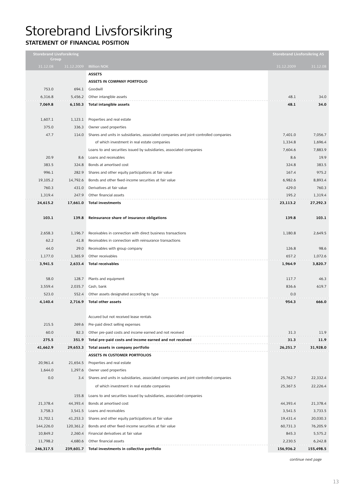# Storebrand Livsforsikring

### **STATEMENT OF FINANCIAL POSITIO**

|                                       | <b>Storebrand Livsforsikring</b><br>Group |                                                                                       |                                        | <b>Storebrand Livsforsikring AS</b> |
|---------------------------------------|-------------------------------------------|---------------------------------------------------------------------------------------|----------------------------------------|-------------------------------------|
| 31.12.08                              | 31.12.2009                                | <b>Million NOK</b>                                                                    | 31.12.2009                             | 31.12.08                            |
|                                       |                                           | <b>ASSETS</b>                                                                         |                                        |                                     |
|                                       |                                           | ASSETS IN COMPANY PORTFOLIO                                                           |                                        |                                     |
| 753.0                                 | 694.1                                     | Goodwill                                                                              |                                        |                                     |
| 6,316.8                               | 5,456.2                                   | Other intangible assets                                                               | 48.1                                   | 34.0                                |
| 7,069.8                               | 6,150.3                                   | <b>Total intangible assets</b>                                                        | 48.1                                   | 34.0                                |
|                                       |                                           |                                                                                       |                                        |                                     |
| 1,607.1                               | 1,123.1                                   | Properties and real estate                                                            |                                        |                                     |
| 375.0                                 | 336.3                                     | Owner used properties                                                                 |                                        |                                     |
| 47.7                                  | 114.0                                     | Shares and units in subsidiaries, associated companies and joint-controlled companies | 7,401.0                                | 7,056.7                             |
|                                       |                                           | of which investment in real estate companies                                          | 1,334.8                                | 1,696.4                             |
|                                       |                                           | Loans to and securities issued by subsidiaries, associated companies                  | 7,604.6                                | 7,883.9                             |
| 20.9                                  | 8.6                                       | Loans and receivables                                                                 | 8.6                                    | 19.9                                |
| 383.5                                 | 324.8                                     | Bonds at amortised cost                                                               | 324.8                                  | 383.5                               |
| 996.1                                 | 282.9                                     | Shares and other equity participations at fair value                                  | 167.4                                  | 975.2                               |
| 19,105.2                              | 14,792.6                                  | Bonds and other fixed-income securities at fair value                                 | 6,982.6                                | 8,893.4                             |
| 760.3                                 | 431.0                                     | Derivatives at fair value                                                             | 429.0                                  | 760.3                               |
| 1,319.4                               | 247.9                                     | Other financial assets                                                                | 195.2                                  | 1.319.4                             |
| 24,615.2                              | 17,661.0                                  | <b>Total investments</b>                                                              | 23,113.2                               | 27,292.3                            |
|                                       |                                           |                                                                                       |                                        |                                     |
| 103.1                                 | 139.8                                     | Reinsurance share of insurance obligations                                            | 139.8                                  | 103.1                               |
|                                       |                                           |                                                                                       |                                        |                                     |
| 2,658.3                               | 1,196.7                                   | Receivables in connection with direct business transactions                           | 1,180.8                                | 2,649.5                             |
| 62.2                                  | 41.8                                      | Receivables in connection with reinsurance transactions                               |                                        |                                     |
| 44.0                                  | 29.0                                      | Receivables with group company                                                        | 126.8                                  | 98.6                                |
| 1,177.0                               | 1,365.9                                   | Other receivables                                                                     | 657.2                                  | 1,072.6                             |
| 3,941.5                               | 2,633.4                                   | <b>Total receivables</b>                                                              | 1,964.9                                | 3,820.7                             |
|                                       |                                           |                                                                                       |                                        |                                     |
| 58.0                                  | 128.7                                     | Plants and equipment                                                                  | 117.7                                  | 46.3                                |
| 3,559.4                               | 2,035.7                                   | Cash, bank                                                                            | 836.6                                  | 619.7                               |
| 523.0                                 | 552.4                                     | Other assets designated according to type                                             | 0.0                                    |                                     |
| 4,140.4                               | 2,716.9                                   | <b>Total other assets</b>                                                             | 954.3                                  | 666.0                               |
|                                       |                                           |                                                                                       |                                        |                                     |
|                                       |                                           | Accured but not received lease rentals                                                |                                        |                                     |
| 215.5                                 | 269.6                                     | Pre-paid direct selling expenses                                                      |                                        |                                     |
| 60.0                                  | 82.3                                      | Other pre-paid costs and income earned and not received                               | 31.3                                   | 11.9                                |
| 275.5                                 | 351.9                                     | Total pre-paid costs and income earned and not received                               | 31.3                                   | 11.9                                |
| 41,662.9<br><b>A ROOM AND REPORTS</b> | 29,653.3                                  | Total assets in company portfolio                                                     | 26,251.7<br><b>A ROOM AND REPORTED</b> | 31,928.0                            |
|                                       |                                           | <b>ASSETS IN CUSTOMER PORTFOLIOS</b>                                                  |                                        |                                     |
| 20,961.4                              | 21,654.5                                  | Properties and real estate                                                            |                                        |                                     |
| 1,644.0                               | 1,297.6                                   | Owner used properties                                                                 |                                        |                                     |
| 0.0                                   | 3.4                                       | Shares and units in subsidiaries, associated companies and joint-controlled companies | 25,762.7                               | 22,332.4                            |
|                                       |                                           | of which investment in real estate companies                                          | 25,367.5                               | 22,226.4                            |
|                                       | 155.8                                     | Loans to and securities issued by subsidiaries, associated companies                  |                                        |                                     |
| 21,378.4                              | 44,393.4                                  | Bonds at amortised cost                                                               | 44,393.4                               | 21,378.4                            |
| 3,758.3                               | 3,541.5                                   | Loans and receivables                                                                 | 3,541.5                                | 3,733.5                             |
| 31,702.1                              | 41,253.3                                  | Shares and other equity participations at fair value                                  | 19,431.4                               | 20,030.3                            |
| 144,226.0                             | 120,361.2                                 | Bonds and other fixed-income securities at fair value                                 | 60,731.3                               | 76,205.9                            |
| 10,849.2                              | 2,260.4                                   | Financial derivatives at fair value                                                   | 845.3                                  | 5,575.2                             |
| 11,798.2                              | 4,680.6                                   | Other financial assets                                                                | 2,230.5                                | 6,242.8                             |
|                                       |                                           |                                                                                       |                                        |                                     |
| 246,317.5                             | 239,601.7                                 | Total investments in collective portfolio                                             | 156,936.2                              | 155,498.5                           |

*continue next page*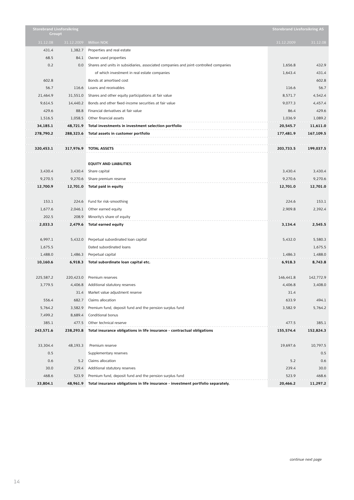| <b>Storebrand Livsforsikring</b><br>Groupt |            |                                                                                       | <b>Storebrand Livsforsikring AS</b> |           |
|--------------------------------------------|------------|---------------------------------------------------------------------------------------|-------------------------------------|-----------|
| 31.12.08                                   | 31.12.2009 | <b>Million NOK</b>                                                                    | 31.12.2009                          | 31.12.08  |
| 431.4                                      | 1,382.7    | Properties and real estate                                                            |                                     |           |
| 68.5                                       | 84.1       | Owner used properties                                                                 |                                     |           |
| 0.2                                        | 0.0        | Shares and units in subsidiaries, associated companies and joint-controlled companies | 1,656.8                             | 432.9     |
|                                            |            | of which investment in real estate companies                                          | 1,643.4                             | 431.4     |
| 602.8                                      |            | Bonds at amortised cost                                                               |                                     | 602.8     |
| 56.7                                       | 116.6      | Loans and receivables                                                                 | 116.6                               | 56.7      |
| 21,464.9                                   | 31,551.0   | Shares and other equity participations at fair value                                  | 8,571.7                             | 4,542.4   |
| 9,614.5                                    | 14,440.2   | Bonds and other fixed-income securities at fair value                                 | 9.077.3                             | 4,457.4   |
| 429.6                                      | 88.8       | Financial derivatives at fair value                                                   | 86.4                                | 429.6     |
| 1,516.5                                    | 1,058.5    | Other financial assets                                                                | 1,036.9                             | 1,089.2   |
| 34,185.1                                   |            | 48,721.9 Total investments in investment selection portfolio                          | 20,545.7                            | 11,611.0  |
| 278,790.2                                  |            | 288,323.6 Total assets in customer portfolio                                          | 177,481.9                           | 167,109.5 |
|                                            |            |                                                                                       |                                     |           |
| 320,453.1                                  |            | 317,976.9 TOTAL ASSETS                                                                | 203,733.5                           | 199,037.5 |
|                                            |            |                                                                                       |                                     |           |
|                                            |            | <b>EQUITY AND LIABILITIES</b>                                                         |                                     |           |
| 3,430.4                                    | 3,430.4    | Share capital                                                                         | 3,430.4                             | 3,430.4   |
| 9,270.5                                    | 9,270.6    | Share premium reserve                                                                 | 9,270.6                             | 9,270.6   |
| 12,700.9                                   | 12,701.0   | Total paid in equity                                                                  | 12,701.0                            | 12,701.0  |
|                                            |            |                                                                                       |                                     |           |
| 153.1                                      | 224.6      | Fund for risk-smoothing                                                               | 224.6                               | 153.1     |
| 1,677.6                                    | 2,046.1    | Other earned equity                                                                   | 2,909.8                             | 2,392.4   |
| 202.5                                      | 208.9      | Minority's share of equity                                                            |                                     |           |
| 2,033.3                                    | 2,479.6    | Total earned equity                                                                   | 3,134.4                             | 2,545.5   |
|                                            |            |                                                                                       |                                     |           |
| 6,997.1                                    | 5,432.0    | Perpetual subordinated loan capital                                                   | 5,432.0                             | 5,580.3   |
| 1,675.5                                    |            | Dated subordinated loans                                                              |                                     | 1,675.5   |
| 1,488.0                                    | 1,486.3    | Perpetual capital                                                                     | 1,486.3                             | 1,488.0   |
| 10,160.6                                   | 6,918.3    | Total subordinate loan capital etc.                                                   | 6,918.3                             | 8,743.8   |
|                                            |            |                                                                                       |                                     |           |
| 225,587.2                                  | 220,423.0  | Premium reserves                                                                      | 146,441.8                           | 142,772.9 |
| 3,779.5                                    | 4,406.8    | Additional statutory reserves                                                         | 4,406.8                             | 3,408.0   |
|                                            | 31.4       | Market value adjustment reserve                                                       | 31.4                                |           |
| 556.4                                      | 682.7      | Claims allocation                                                                     | 633.9                               | 494.1     |
| 5,764.2                                    | 3,582.9    | Premium fund, deposit fund and the pension surplus fund                               | 3,582.9                             | 5,764.2   |
| 7,499.2                                    | 8,689.4    | Conditional bonus                                                                     |                                     |           |
| 385.1                                      | 477.5      | Other technical reserve                                                               | 477.5                               | 385.1     |
| 243,571.6                                  | 238,293.8  | Total insurance obligations in life insurance - contractual obligations               | 155,574.4                           | 152,824.3 |
|                                            |            |                                                                                       |                                     |           |
| 33,304.4                                   | 48,193.3   | Premium reserve                                                                       | 19,697.6                            | 10,797.5  |
| 0.5                                        |            | Supplementary reserves                                                                |                                     | 0.5       |
| 0.6                                        | 5.2        | Claims allocation                                                                     | 5.2                                 | 0.6       |
| 30.0                                       | 239.4      | Additional statutory reserves                                                         | 239.4                               | 30.0      |
| 468.6                                      | 523.9      | Premium fund, deposit fund and the pension surplus fund                               | 523.9                               | 468.6     |
| 33,804.1                                   | 48,961.9   | Total insurance obligations in life insurance - investment portfolio separately.      | 20,466.2                            | 11,297.2  |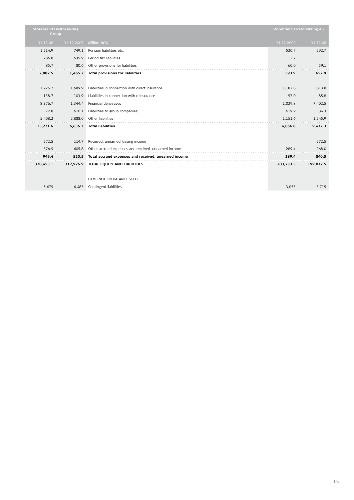| <b>Storebrand Livsforsikring</b><br>Group |            |                                                      | <b>Storebrand Livsforsikring AS</b> |           |
|-------------------------------------------|------------|------------------------------------------------------|-------------------------------------|-----------|
| 31.12.08                                  | 31.12.2009 | <b>Million NOK</b>                                   | 31.12.2009                          | 31.12.08  |
| 1,214.9                                   | 749.1      | Pension liabilities etc.                             | 530.7                               | 592.7     |
| 786.8                                     | 635.9      | Period tax liabilities                               | 3.2                                 | 1.1       |
| 85.7                                      | 80.6       | Other provisions for liabilities                     | 60.0                                | 59.1      |
| 2,087.5                                   | 1,465.7    | <b>Total provisions for liabilities</b>              | 593.9                               | 652.9     |
|                                           |            |                                                      |                                     |           |
| 1,225.2                                   | 1,689.9    | Liabilities in connection with direct insurance      | 1,187.8                             | 613.8     |
| 138.7                                     | 103.9      | Liabilities in connection with reinsurance           | 57.0                                | 85.8      |
| 8,376.7                                   | 1,344.4    | Financial derivatives                                | 1,039.8                             | 7,402.5   |
| 72.8                                      | 610.1      | Liabilities to group companies                       | 619.9                               | 84.3      |
| 5,408.2                                   | 2,888.0    | Other liabilities                                    | 1,151.6                             | 1,245.9   |
| 15,221.6                                  | 6,636.3    | <b>Total liabilities</b>                             | 4,056.0                             | 9,432.3   |
|                                           |            |                                                      |                                     |           |
| 572.5                                     | 114.7      | Received, unearned leasing income                    |                                     | 572.5     |
| 376.9                                     | 405.8      | Other accrued expenses and received, unearned income | 289.4                               | 268.0     |
| 949.4                                     | 520.5      | Total accrued expenses and received, unearned income | 289.4                               | 840.5     |
| 320,453.1                                 | 317,976.9  | TOTAL EQUITY AND LIABILITIES                         | 203,733.5                           | 199,037.5 |
|                                           |            |                                                      |                                     |           |
|                                           |            | ITEMS NOT ON BALANCE SHEET                           |                                     |           |
| 5,479                                     | 4,483      | Contingent liabilities                               | 3,053                               | 3,715     |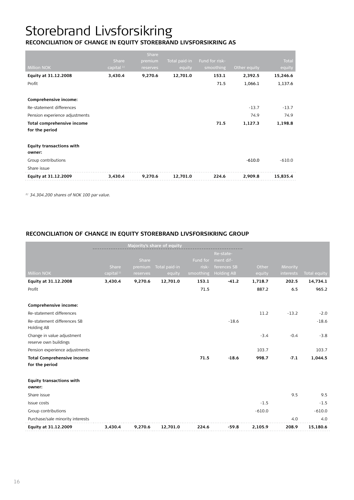# Storebrand Livsforsikring

#### **RECONCILIATION OF CHANGE IN EQUITY STOREBRAND LIVSFORSIKRING A**

|                                 |                       | Share    |               |                |              |              |
|---------------------------------|-----------------------|----------|---------------|----------------|--------------|--------------|
|                                 | Share                 | premium  | Total paid-in | Fund for risk- |              | <b>Total</b> |
| <b>Million NOK</b>              | capital <sup>1)</sup> | reserves | equity        | smoothing      | Other equity | equity       |
| Equity at 31.12.2008            | 3,430.4               | 9,270.6  | 12,701.0      | 153.1          | 2,392.5      | 15,246.6     |
| Profit                          |                       |          |               | 71.5           | 1,066.1      | 1,137.6      |
|                                 |                       |          |               |                |              |              |
| Comprehensive income:           |                       |          |               |                |              |              |
| Re-statement differences        |                       |          |               |                | $-13.7$      | $-13.7$      |
| Pension experience adjustments  |                       |          |               |                | 74.9         | 74.9         |
| Total comprehensive income      |                       |          |               | 71.5           | 1,127.3      | 1,198.8      |
| for the period                  |                       |          |               |                |              |              |
|                                 |                       |          |               |                |              |              |
| <b>Equity transactions with</b> |                       |          |               |                |              |              |
| owner:                          |                       |          |               |                |              |              |
| Group contributions             |                       |          |               |                | $-610.0$     | $-610.0$     |
| Share issue                     |                       |          |               |                |              |              |
| Equity at 31.12.2009            | 3,430.4               | 9,270.6  | 12,701.0      | 224.6          | 2,909.8      | 15,835.4     |

*1) 34.304.200 shares of NOK 100 par value.* 

## **Reconciliation of change in equity Storebrand Livsforsikring Group**

|                                                     |             |          | Majority's share of equity |           |                    |          |           |              |
|-----------------------------------------------------|-------------|----------|----------------------------|-----------|--------------------|----------|-----------|--------------|
|                                                     |             |          |                            |           | Re-state-          |          |           |              |
|                                                     |             | Share    |                            |           | Fund for ment dif- |          |           |              |
|                                                     | Share       | premium  | Total paid-in              | risk-     | ferences SB        | Other    | Minority  |              |
| <b>Million NOK</b>                                  | capital $1$ | reserves | equity                     | smoothing | <b>Holding AB</b>  | equity   | interests | Total equity |
| Equity at 31.12.2008                                | 3,430.4     | 9,270.6  | 12,701.0                   | 153.1     | $-41.2$            | 1,718.7  | 202.5     | 14,734.1     |
| Profit                                              |             |          |                            | 71.5      |                    | 887.2    | 6.5       | 965.2        |
|                                                     |             |          |                            |           |                    |          |           |              |
| Comprehensive income:                               |             |          |                            |           |                    |          |           |              |
| Re-statement differences                            |             |          |                            |           |                    | 11.2     | $-13.2$   | $-2.0$       |
| Re-statement differences SB                         |             |          |                            |           | $-18.6$            |          |           | $-18.6$      |
| Holding AB                                          |             |          |                            |           |                    |          |           |              |
| Change in value adjustment<br>reserve own buildings |             |          |                            |           |                    | $-3.4$   | $-0.4$    | $-3.8$       |
| Pension experience adjustments                      |             |          |                            |           |                    | 103.7    |           | 103.7        |
| <b>Total Comprehensive income</b>                   |             |          |                            | 71.5      | $-18.6$            | 998.7    | $-7.1$    | 1,044.5      |
| for the period                                      |             |          |                            |           |                    |          |           |              |
| <b>Equity transactions with</b>                     |             |          |                            |           |                    |          |           |              |
| owner:                                              |             |          |                            |           |                    |          |           |              |
| Share issue                                         |             |          |                            |           |                    |          | 9.5       | 9.5          |
| Issue costs                                         |             |          |                            |           |                    | $-1.5$   |           | $-1.5$       |
| Group contributions                                 |             |          |                            |           |                    | $-610.0$ |           | $-610.0$     |
| Purchase/sale minority interests                    |             |          |                            |           |                    |          | 4.0       | 4.0          |
| Equity at 31.12.2009                                | 3.430.4     | 9,270.6  | 12.701.0                   | 224.6     | $-59.8$            | 2.105.9  | 208.9     | 15,180.6     |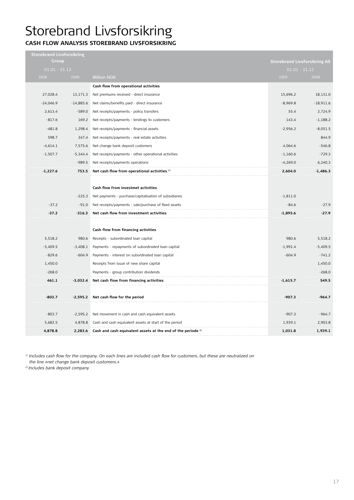# Storebrand Livsforsikring

## **Cash flow analysis Storebrand Livsforsikring**

| Storebrand Livsforsikring<br>Group |             |                                                                                 | <b>Storebrand Livsforsikring AS</b> |             |
|------------------------------------|-------------|---------------------------------------------------------------------------------|-------------------------------------|-------------|
| $01.01 - 31.12$                    |             |                                                                                 | $01.01 - 31.12$                     |             |
| 2008                               | 2009        | <b>Million NOK</b>                                                              | 2009                                | 2008        |
|                                    |             | Cash flow from operational activities                                           |                                     |             |
| 27,028.4                           | 13,171.3    | Net premiums received - direct insurance                                        | 15.696.2                            | 18,131.0    |
| $-24,046.9$                        | $-14,885.6$ | Net claims/benefits paid - direct insurance                                     | $-8,969.8$                          | $-18,911.6$ |
| 2,613.4                            | $-589.0$    | Net receipts/payments - policy transfers                                        | 55.4                                | 2,724.9     |
| $-817.6$                           | 169.2       | Net receipts/payments - lendings to customers                                   | 143.4                               | $-1,188.2$  |
| $-481.8$                           | 1,298.4     | Net receipts/payments - financial assets                                        | $-2,956.2$                          | $-8,051.5$  |
| 598.7                              | 347.4       | Net receipts/payments - real estate activities                                  |                                     | 844.9       |
| $-4,614.1$                         | 7,575.6     | Net change bank deposit customers                                               | 4,064.6                             | $-546.8$    |
| $-1,507.7$                         | $-5,344.4$  | Net receipts/payments - other operational activities                            | $-1,160.6$                          | $-729.3$    |
|                                    | $-989.5$    | Net receipts/payments operations                                                | $-4,269.0$                          | 6,240.3     |
| -1.227.6                           | 753.5       | Net cash flow from operational activities $1$                                   | 2,604.0                             | -1,486.3    |
|                                    |             |                                                                                 |                                     |             |
|                                    |             | Cash flow from investmet activities                                             |                                     |             |
|                                    | $-225.3$    | Net payments - purchase/capitalisation of subsidiaries                          | $-1,811.0$                          |             |
| $-37.2$                            | $-91.0$     | Net receipts/payments - sale/purchase of fixed assets                           | $-84.6$                             | $-27.9$     |
| -37.2                              | -316.3      | Net cash flow from investment activities                                        | $-1,895.6$                          | $-27.9$     |
|                                    |             |                                                                                 |                                     |             |
|                                    |             | Cash flow from financing activities                                             |                                     |             |
| 5,518.2                            | 980.6       | Receipts - subordinated loan capital                                            | 980.6                               | 5,518.2     |
| $-5,409.5$                         | $-3,408.1$  | Payments - repayments of subordinated loan capital                              | $-1,991.4$                          | $-5,409.5$  |
| $-829.6$                           | $-604.9$    | Payments - interest on subordinated loan capital                                | $-604.9$                            | $-741.2$    |
| 1,450.0                            |             | Receipts from issue of new share capital                                        |                                     | 1,450.0     |
| $-268.0$                           |             | Payments - group contribution dividends                                         |                                     | $-268.0$    |
| 461.1                              | -3,032.4    | Net cash flow from financing activities                                         | $-1.615.7$                          | 549.5       |
|                                    |             |                                                                                 |                                     |             |
| $-803.7$                           | $-2,595.2$  | Net cash flow for the period                                                    | $-907.3$                            | $-964.7$    |
|                                    |             |                                                                                 |                                     |             |
| $-803.7$                           | $-2,595.2$  | Net movement in cash and cash equivalent assets                                 | $-907.3$                            | $-964.7$    |
| 5,682.5                            | 4,878.8     | Cash and cash equivalent assets at start of the period                          | 1,939.1                             | 2,903.8     |
| 4,878.8                            |             | 2,283.6 Cash and cash equivalent assets at the end of the periode <sup>2)</sup> | 1,031.8                             | 1,939.1     |

*1) Includes cash flow for the company. On each lines are included cash flow for customers, but these are neutralized on the line «net change bank deposit customers.»*

*2) Includes bank deposit company*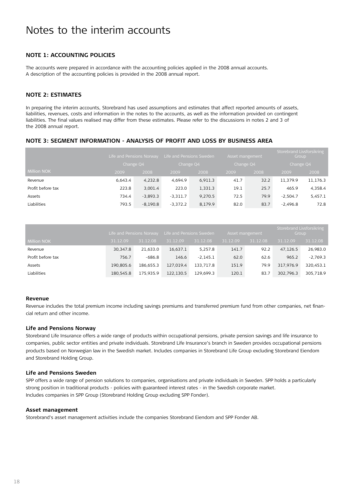### **Note 1: Accounting policies**

The accounts were prepared in accordance with the accounting policies applied in the 2008 annual accounts. A description of the accounting policies is provided in the 2008 annual report.

### **Note 2: Estimates**

In preparing the interim accounts, Storebrand has used assumptions and estimates that affect reported amounts of assets, liabilities, revenues, costs and information in the notes to the accounts, as well as the information provided on contingent liabilities. The final values realised may differ from these estimates. Please refer to the discussions in notes 2 and 3 of the 2008 annual report.

### **Note 3: Segment information - analysis of profit and loss by business area**

|                   | Life and Pensions Norway |            |            | Life and Pensions Sweden |      | Asset mangement |            | Storebrand Livsforsikring<br>Group |  |
|-------------------|--------------------------|------------|------------|--------------------------|------|-----------------|------------|------------------------------------|--|
|                   |                          | Change Q4  |            | Change Q4                |      | Change Q4       |            | Change Q4                          |  |
| Million NOK       | 2009                     | 2008       | 2009       | 2008                     | 2009 | 2008            | 2009       | 2008                               |  |
| Revenue           | 6.643.4                  | 4,232.8    | 4.694.9    | 6,911.3                  | 41.7 | 32.2            | 11,379.9   | 11,176.3                           |  |
| Profit before tax | 223.8                    | 3,001.4    | 223.0      | 1,331.3                  | 19.1 | 25.7            | 465.9      | 4,358.4                            |  |
| Assets            | 734.4                    | $-3,893.3$ | $-3,311.7$ | 9,270.5                  | 72.5 | 79.9            | $-2,504.7$ | 5,457.1                            |  |
| Liabilities       | 793.5                    | $-8,190.8$ | $-3.372.2$ | 8,179.9                  | 82.0 | 83.7            | $-2,496.8$ | 72.8                               |  |

|                    | Life and Pensions Norway |           | Life and Pensions Sweden |            | Asset mangement |          | Storebrand Livsforsikring<br>Group |            |
|--------------------|--------------------------|-----------|--------------------------|------------|-----------------|----------|------------------------------------|------------|
| <b>Million NOK</b> | 31.12.09                 | 31.12.08  | 31.12.09                 | 31.12.08   | 31.12.09        | 31.12.08 | 31.12.09                           | 31.12.08   |
| Revenue            | 30.347.8                 | 21.633.0  | 16,637.1                 | 5,257.8    | 141.7           | 92.2     | 47,126.5                           | 26,983.0   |
| Profit before tax  | 756.7                    | -686.8    | 146.6                    | $-2.145.1$ | 62.0            | 62.6     | 965.2                              | $-2,769.3$ |
| Assets             | 190.805.6                | 186.655.3 | 127.019.4                | 133.717.8  | 151.9           | 79.9     | 317.976.9                          | 320,453.1  |
| <b>Liabilities</b> | 180.545.8                | 175.935.9 | 122.130.5                | 129,699.3  | 120.1           | 83.7     | 302.796.3                          | 305,718.9  |

#### **Revenue**

Revenue includes the total premium income including savings premiums and transferred premium fund from other companies, net financial return and other income.

#### **Life and Pensions Norway**

Storebrand Life Insurance offers a wide range of products within occupational pensions, private pension savings and life insurance to companies, public sector entities and private individuals. Storebrand Life Insurance's branch in Sweden provides occupational pensions products based on Norwegian law in the Swedish market. Includes companies in Storebrand Life Group excluding Storebrand Eiendom and Storebrand Holding Group.

#### **Life and Pensions Sweden**

SPP offers a wide range of pension solutions to companies, organisations and private individuals in Sweden. SPP holds a particularly strong position in traditional products - policies with guaranteed interest rates - in the Swedish corporate market. Includes companies in SPP Group (Storebrand Holding Group excluding SPP Fonder).

#### **Asset management**

Storebrand's asset management activities include the companies Storebrand Eiendom and SPP Fonder AB.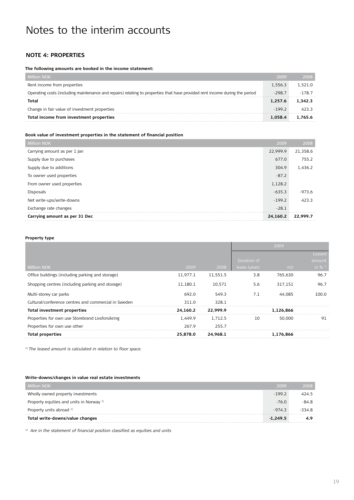### **Note 4: Properties**

#### **The following amounts are booked in the income statement:**

| <b>Million NOK</b>                                                                                                          | 2009     | 2008     |
|-----------------------------------------------------------------------------------------------------------------------------|----------|----------|
| Rent income from properties                                                                                                 | 1.556.3  | 1.521.0  |
| Operating costs (including maintenance and repairs) relating to properties that have provided rent income during the period | $-298.7$ | $-178.7$ |
| Total                                                                                                                       | 1.257.6  | 1.342.3  |
| Change in fair value of investment properties                                                                               | $-1992$  | 423.3    |
| Total income from investment properties                                                                                     | 1.058.4  | 1.765.6  |

#### **Book value of investment properties in the statement of financial position**

| Million NOK                   | 2009     | 2008     |
|-------------------------------|----------|----------|
| Carrying amount as per 1 Jan  | 22,999.9 | 21,358.6 |
| Supply due to purchases       | 677.0    | 755.2    |
| Supply due to additions       | 304.9    | 1,436.2  |
| To owner used properties      | $-87.2$  |          |
| From owner used properties    | 1,128.2  |          |
| <b>Disposals</b>              | $-635.3$ | $-973.6$ |
| Net write-ups/write-downs     | $-199.2$ | 423.3    |
| Exchange rate changes         | $-28.1$  |          |
| Carrying amount as per 31 Dec | 24,160.2 | 22.999.7 |

#### **Property type**

|                                                      |          |          |               | 2009           |           |
|------------------------------------------------------|----------|----------|---------------|----------------|-----------|
|                                                      |          |          |               |                | Leased    |
|                                                      |          |          | Duration of   |                | amount    |
| <b>Million NOK</b>                                   | 2009     | 2008     | lease (years, | m <sub>2</sub> | in $% 11$ |
| Office buildings (including parking and storage)     | 11.977.1 | 11,551.5 | 3.8           | 765,630        | 96.7      |
| Shopping centres (including parking and storage)     | 11,180.1 | 10,571   | 5.6           | 317,151        | 96.7      |
| Multi-storey car parks                               | 692.0    | 549.3    | 7.1           | 44.085         | 100.0     |
| Cultural/conference centres and commercial in Sweden | 311.0    | 328.1    |               |                |           |
| <b>Total investment properties</b>                   | 24.160.2 | 22.999.9 |               | 1,126,866      |           |
| Properties for own use Storebrand Livsforsikring     | 1.449.9  | 1.712.5  | 10            | 50.000         | 91        |
| Properties for own use other                         | 267.9    | 255.7    |               |                |           |
| <b>Total properties</b>                              | 25.878.0 | 24.968.1 |               | 1,176,866      |           |

*1) The leased amount is calculated in relation to floor space.*

#### **Write-downs/changes in value real estate investments**

| <b>Million NOK</b>                       | 2009       | 2008     |
|------------------------------------------|------------|----------|
| Wholly owned property investments        | $-199.2$   | 424.5    |
| Property equities and units in Norway 1) | $-76.0$    | $-84.8$  |
| Property units abroad 1)                 | $-974.3$   | $-334.8$ |
| Total write-downs/value changes          | $-1.249.5$ | 4.9      |

*1) Are in the statement of financial position classified as equities and units*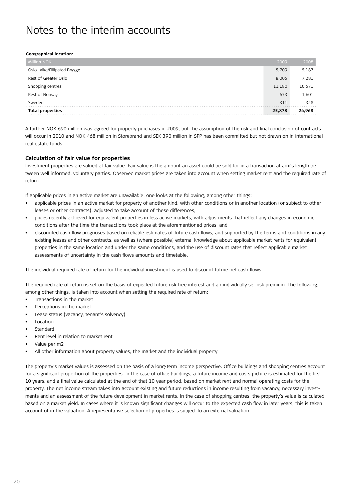#### **Geographical location:**

| <b>Million NOK</b>           | 2009   | 2008   |
|------------------------------|--------|--------|
| Oslo- Vika/Fillipstad Brygge | 5,709  | 5,187  |
| Rest of Greater Oslo         | 8,005  | 7,281  |
| Shopping centres             | 11,180 | 10,571 |
| Rest of Norway               | 673    | 1,601  |
| Sweden                       | 311    | 328    |
| <b>Total properties</b>      | 25,878 | 24,968 |

A further NOK 690 million was agreed for property purchases in 2009, but the assumption of the risk and final conclusion of contracts will occur in 2010 and NOK 468 million in Storebrand and SEK 390 million in SPP has been committed but not drawn on in international real estate funds.

#### **Calculation of fair value for properties**

Investment properties are valued at fair value. Fair value is the amount an asset could be sold for in a transaction at arm's length between well informed, voluntary parties. Observed market prices are taken into account when setting market rent and the required rate of return.

If applicable prices in an active market are unavailable, one looks at the following, among other things:

- applicable prices in an active market for property of another kind, with other conditions or in another location (or subject to other leases or other contracts), adjusted to take account of these differences,
- prices recently achieved for equivalent properties in less active markets, with adjustments that reflect any changes in economic conditions after the time the transactions took place at the aforementioned prices, and
- discounted cash flow prognoses based on reliable estimates of future cash flows, and supported by the terms and conditions in any existing leases and other contracts, as well as (where possible) external knowledge about applicable market rents for equivalent properties in the same location and under the same conditions, and the use of discount rates that reflect applicable market assessments of uncertainty in the cash flows amounts and timetable.

The individual required rate of return for the individual investment is used to discount future net cash flows.

The required rate of return is set on the basis of expected future risk free interest and an individually set risk premium. The following, among other things, is taken into account when setting the required rate of return:

- Transactions in the market
- Perceptions in the market
- Lease status (vacancy, tenant's solvency)
- **Location**
- Standard
- Rent level in relation to market rent
- Value per m2
- All other information about property values, the market and the individual property

The property's market values is assessed on the basis of a long-term income perspective. Office buildings and shopping centres account for a significant proportion of the properties. In the case of office buildings, a future income and costs picture is estimated for the first 10 years, and a final value calculated at the end of that 10 year period, based on market rent and normal operating costs for the property. The net income stream takes into account existing and future reductions in income resulting from vacancy, necessary investments and an assessment of the future development in market rents. In the case of shopping centres, the property's value is calculated based on a market yield. In cases where it is known significant changes will occur to the expected cash flow in later years, this is taken account of in the valuation. A representative selection of properties is subject to an external valuation.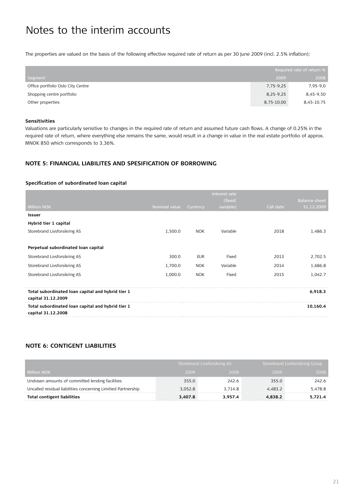The properties are valued on the basis of the following effective required rate of return as per 30 June 2009 (incl. 2.5% inflation):

|                                   | Required rate of return % |            |
|-----------------------------------|---------------------------|------------|
| Segment                           | 2009                      | 2008       |
| Office portfolio Oslo City Centre | 7,75-9,25                 | 7,95-9,0   |
| Shopping centre portfolio         | 8,25-9,25                 | 8,45-9,50  |
| Other properties                  | 8,75-10,00                | 8,45-10,75 |

#### **Sensitivities**

Valuations are particularly sensitive to changes in the required rate of return and assumed future cash flows. A change of 0.25% in the required rate of return, where everything else remains the same, would result in a change in value in the real estate portfolio of approx. MNOK 850 which corresponds to 3.36%.

#### **Note 5: Financial liabilites and spesification of borrowing**

#### **Specification of subordinated loan capital**

|                                                                         |               |            | Interest rate<br>(fixed/ |           | <b>Balance sheet</b> |
|-------------------------------------------------------------------------|---------------|------------|--------------------------|-----------|----------------------|
| <b>Million NOK</b>                                                      | Nominal value | Currency   | variable)                | Call date | 31.12.2009           |
| <b>Issuer</b>                                                           |               |            |                          |           |                      |
| Hybrid tier 1 capital                                                   |               |            |                          |           |                      |
| Storebrand Livsforsikring AS                                            | 1,500.0       | <b>NOK</b> | Variable                 | 2018      | 1,486.3              |
|                                                                         |               |            |                          |           |                      |
| Perpetual subordinated loan capital                                     |               |            |                          |           |                      |
| Storebrand Livsforsikring AS                                            | 300.0         | <b>EUR</b> | Fixed                    | 2013      | 2,702.5              |
| Storebrand Livsforsikring AS                                            | 1,700.0       | <b>NOK</b> | Variable                 | 2014      | 1,686.8              |
| Storebrand Livsforsikring AS                                            | 1,000.0       | <b>NOK</b> | Fixed                    | 2015      | 1,042.7              |
|                                                                         |               |            |                          |           |                      |
| Total subordinated loan capital and hybrid tier 1<br>capital 31.12.2009 |               |            |                          |           | 6,918.3              |
| Total subordinated loan capital and hybrid tier 1<br>capital 31.12.2008 |               |            |                          |           | 10,160.4             |

### **Note 6: Contigent liabilities**

|                                                               |         | Storebrand Livsforsikring AS |         | Storebrand Livsforsikring Group |
|---------------------------------------------------------------|---------|------------------------------|---------|---------------------------------|
| <b>Million NOK</b>                                            | 2009    | 2008                         | 2009    | 2008                            |
| Undrawn amounts of committed lending facilities               | 355.0   | 242.6                        | 355.0   | 242.6                           |
| Uncalled residual liabilities concerning Limitied Partnership | 3,052.8 | 3.714.8                      | 4.483.2 | 5.478.8                         |
| <b>Total contigent liabilities</b>                            | 3.407.8 | 3.957.4                      | 4.838.2 | 5,721.4                         |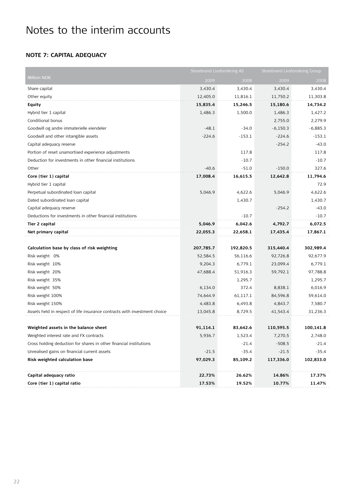## **Note 7: Capital adequacy**

|                                                                           | Storebrand Livsforsikring AS |           | Storebrand Livsforsikring Group |            |  |
|---------------------------------------------------------------------------|------------------------------|-----------|---------------------------------|------------|--|
| Million NOK                                                               | 2009                         | 2008      | 2009                            | 2008       |  |
| Share capital                                                             | 3,430.4                      | 3,430.4   | 3,430.4                         | 3,430.4    |  |
| Other equity                                                              | 12,405.0                     | 11,816.1  | 11,750.2                        | 11,303.8   |  |
| <b>Equity</b>                                                             | 15,835.4                     | 15,246.5  | 15,180.6                        | 14,734.2   |  |
| Hybrid tier 1 capital                                                     | 1,486.3                      | 1,500.0   | 1,486.3                         | 1,427.2    |  |
| Conditional bonus                                                         |                              |           | 2,755.0                         | 2,279.9    |  |
| Goodwill og andre immaterielle eiendeler                                  | $-48.1$                      | $-34.0$   | $-6,150.3$                      | $-6,885.3$ |  |
| Goodwill and other intangible assets                                      | $-224.6$                     | $-153.1$  | $-224.6$                        | $-153.1$   |  |
| Capital adequacy reserve                                                  |                              |           | $-254.2$                        | $-43.0$    |  |
| Portion of reset unamortised experience adjustments                       |                              | 117.8     |                                 | 117.8      |  |
| Deduction for investments in other financial institutions                 |                              | $-10.7$   |                                 | $-10.7$    |  |
| Other                                                                     | $-40.6$                      | $-51.0$   | $-150.0$                        | 327.6      |  |
| Core (tier 1) capital                                                     | 17,008.4                     | 16,615.5  | 12,642.8                        | 11,794.6   |  |
| Hybrid tier 1 capital                                                     |                              |           |                                 | 72.9       |  |
| Perpetual subordinated loan capital                                       | 5,046.9                      | 4,622.6   | 5,046.9                         | 4,622.6    |  |
| Dated subordinated loan capital                                           |                              | 1,430.7   |                                 | 1,430.7    |  |
| Capital adequacy reserve                                                  |                              |           | $-254.2$                        | $-43.0$    |  |
| Deductions for investments in other financial institutions                |                              | $-10.7$   |                                 | $-10.7$    |  |
| Tier 2 capital                                                            | 5,046.9                      | 6,042.6   | 4,792.7                         | 6,072.5    |  |
| Net primary capital                                                       | 22,055.3                     | 22,658.1  | 17,435.4                        | 17,867.1   |  |
|                                                                           |                              |           |                                 |            |  |
| Calculation base by class of risk weighting                               | 207,785.7                    | 192,820.5 | 315,440.4                       | 302,989.4  |  |
| Risk weight 0%                                                            | 52,584.5                     | 56,116.6  | 92,726.8                        | 92,677.9   |  |
| Risk weight 10%                                                           | 9,204.3                      | 6,779.1   | 23,099.4                        | 6,779.1    |  |
| Risk weight 20%                                                           | 47,688.4                     | 51,916.3  | 59,792.1                        | 97,788.8   |  |
| Risk weight 35%                                                           |                              | 1,295.7   |                                 | 1,295.7    |  |
| Risk weight 50%                                                           | 6,134.0                      | 372.4     | 8,838.1                         | 6,016.9    |  |
| Risk weight 100%                                                          | 74,644.9                     | 61,117.1  | 84,596.8                        | 59,614.0   |  |
| Risk weight 150%                                                          | 4,483.8                      | 6,493.8   | 4,843.7                         | 7,580.7    |  |
| Assets held in respect of life insurance contracts with investment choice | 13,045.8                     | 8,729.5   | 41,543.4                        | 31,236.3   |  |
|                                                                           |                              |           |                                 |            |  |
| Weighted assets in the balance sheet                                      | 91,114.1                     | 83,642.6  | 110,595.5                       | 100,141.8  |  |
| Weighted interest rate and FX contracts                                   | 5,936.7                      | 1,523.4   | 7,270.5                         | 2,748.0    |  |
| Cross holding deduction for shares in other financial institutions        |                              | $-21.4$   | $-508.5$                        | $-21.4$    |  |
| Unrealised gains on financial current assets                              | $-21.5$                      | $-35.4$   | $-21.5$                         | -35.4      |  |
| Risk weighted calculation base                                            | 97,029.3                     | 85,109.2  | 117,336.0                       | 102,833.0  |  |
|                                                                           |                              |           |                                 |            |  |
| Capital adequacy ratio                                                    | 22.73%                       | 26.62%    | 14.86%                          | 17.37%     |  |
| Core (tier 1) capital ratio                                               | 17.53%                       | 19.52%    | 10.77%                          | 11.47%     |  |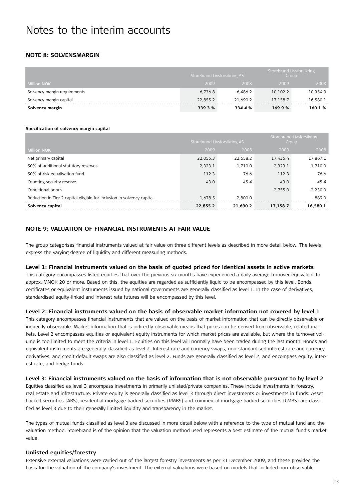### **Note 8: Solvensmargin**

|                              | Storebrand Livsforsikring AS |          | Storebrand Livsforsikring | Group    |
|------------------------------|------------------------------|----------|---------------------------|----------|
| <b>Million NOK</b>           | 2009                         | 2008     | 2009                      | 2008     |
| Solvency margin requirements | 6,736.8                      | 6.486.2  | 10,102.2                  | 10,354.9 |
| Solvency margin capital      | 22,855.2                     | 21.690.2 | 17.158.7                  | 16,580.1 |
| Solvency margin              | 339.3 %                      | 334.4 %  | 169.9%                    | 160.1 %  |

#### **Specification of solvency margin capital**

|                                                                        |            | Storebrand Livsforsikring AS |            | Storebrand Livsforsikring<br>Group |
|------------------------------------------------------------------------|------------|------------------------------|------------|------------------------------------|
| Million NOK                                                            | 2009       | 2008                         | 2009       | 2008                               |
| Net primary capital                                                    | 22,055.3   | 22.658.2                     | 17.435.4   | 17,867.1                           |
| 50% of additional statutory reserves                                   | 2.323.1    | 1.710.0                      | 2.323.1    | 1,710.0                            |
| 50% of risk equalisation fund                                          | 112.3      | 76.6                         | 112.3      | 76.6                               |
| Counting security reserve                                              | 43.0       | 45.4                         | 43.0       | 45.4                               |
| Conditional bonus                                                      |            |                              | $-2.755.0$ | $-2,230.0$                         |
| Reduction in Tier 2 capital eligible for inclusion in solvency capital | $-1.678.5$ | $-2.800.0$                   |            | $-889.0$                           |
| Solvency capital                                                       | 22.855.2   | 21.690.2                     | 17,158.7   | 16,580.1                           |

### **Note 9: Valuation of financial instruments at fair value**

The group categorises financial instruments valued at fair value on three different levels as described in more detail below. The levels express the varying degree of liquidity and different measuring methods.

#### **Level 1: Financial instruments valued on the basis of quoted priced for identical assets in active markets**

This category encompasses listed equities that over the previous six months have experienced a daily average turnover equivalent to approx. MNOK 20 or more. Based on this, the equities are regarded as sufficiently liquid to be encompassed by this level. Bonds, certificates or equivalent instruments issued by national governments are generally classified as level 1. In the case of derivatives, standardised equity-linked and interest rate futures will be encompassed by this level.

#### **Level 2: Financial instruments valued on the basis of observable market information not covered by level 1**

This category encompasses financial instruments that are valued on the basis of market information that can be directly observable or indirectly observable. Market information that is indirectly observable means that prices can be derived from observable, related markets. Level 2 encompasses equities or equivalent equity instruments for which market prices are available, but where the turnover volume is too limited to meet the criteria in level 1. Equities on this level will normally have been traded during the last month. Bonds and equivalent instruments are generally classified as level 2. Interest rate and currency swaps, non-standardised interest rate and currency derivatives, and credit default swaps are also classified as level 2. Funds are generally classified as level 2, and encompass equity, interest rate, and hedge funds.

## **Level 3: Financial instruments valued on the basis of information that is not observable pursuant to by level 2**

Equities classified as level 3 encompass investments in primarily unlisted/private companies. These include investments in forestry, real estate and infrastructure. Private equity is generally classified as level 3 through direct investments or investments in funds. Asset backed securities (ABS), residential mortgage backed securities (RMBS) and commercial mortgage backed securities (CMBS) are classified as level 3 due to their generally limited liquidity and transparency in the market.

The types of mutual funds classified as level 3 are discussed in more detail below with a reference to the type of mutual fund and the valuation method. Storebrand is of the opinion that the valuation method used represents a best estimate of the mutual fund's market value.

#### **Unlisted equities/forestry**

Extensive external valuations were carried out of the largest forestry investments as per 31 December 2009, and these provided the basis for the valuation of the company's investment. The external valuations were based on models that included non-observable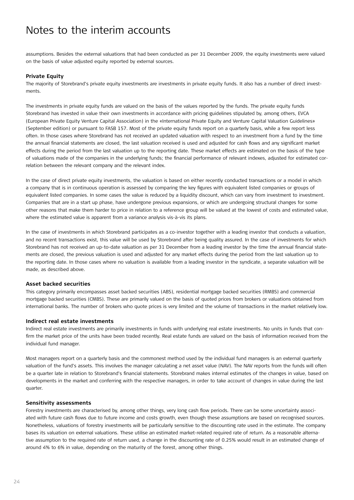assumptions. Besides the external valuations that had been conducted as per 31 December 2009, the equity investments were valued on the basis of value adjusted equity reported by external sources.

#### **Private Equity**

The majority of Storebrand's private equity investments are investments in private equity funds. It also has a number of direct investments.

The investments in private equity funds are valued on the basis of the values reported by the funds. The private equity funds Storebrand has invested in value their own investments in accordance with pricing guidelines stipulated by, among others, EVCA (European Private Equity Venture Capital Association) in the «International Private Equity and Venture Capital Valuation Guidelines» (September edition) or pursuant to FASB 157. Most of the private equity funds report on a quarterly basis, while a few report less often. In those cases where Storebrand has not received an updated valuation with respect to an investment from a fund by the time the annual financial statements are closed, the last valuation received is used and adjusted for cash flows and any significant market effects during the period from the last valuation up to the reporting date. These market effects are estimated on the basis of the type of valuations made of the companies in the underlying funds; the financial performance of relevant indexes, adjusted for estimated correlation between the relevant company and the relevant index.

In the case of direct private equity investments, the valuation is based on either recently conducted transactions or a model in which a company that is in continuous operation is assessed by comparing the key figures with equivalent listed companies or groups of equivalent listed companies. In some cases the value is reduced by a liquidity discount, which can vary from investment to investment. Companies that are in a start up phase, have undergone previous expansions, or which are undergoing structural changes for some other reasons that make them harder to price in relation to a reference group will be valued at the lowest of costs and estimated value, where the estimated value is apparent from a variance analysis vis-à-vis its plans.

In the case of investments in which Storebrand participates as a co-investor together with a leading investor that conducts a valuation, and no recent transactions exist, this value will be used by Storebrand after being quality assured. In the case of investments for which Storebrand has not received an up-to-date valuation as per 31 December from a leading investor by the time the annual financial statements are closed, the previous valuation is used and adjusted for any market effects during the period from the last valuation up to the reporting date. In those cases where no valuation is available from a leading investor in the syndicate, a separate valuation will be made, as described above.

#### **Asset backed securities**

This category primarily encompasses asset backed securities (ABS), residential mortgage backed securities (RMBS) and commercial mortgage backed securities (CMBS). These are primarily valued on the basis of quoted prices from brokers or valuations obtained from international banks. The number of brokers who quote prices is very limited and the volume of transactions in the market relatively low.

#### **Indirect real estate investments**

Indirect real estate investments are primarily investments in funds with underlying real estate investments. No units in funds that confirm the market price of the units have been traded recently. Real estate funds are valued on the basis of information received from the individual fund manager.

Most managers report on a quarterly basis and the commonest method used by the individual fund managers is an external quarterly valuation of the fund's assets. This involves the manager calculating a net asset value (NAV). The NAV reports from the funds will often be a quarter late in relation to Storebrand's financial statements. Storebrand makes internal estimates of the changes in value, based on developments in the market and conferring with the respective managers, in order to take account of changes in value during the last quarter.

#### **Sensitivity assessments**

Forestry investments are characterised by, among other things, very long cash flow periods. There can be some uncertainty associated with future cash flows due to future income and costs growth, even though these assumptions are based on recognised sources. Nonetheless, valuations of forestry investments will be particularly sensitive to the discounting rate used in the estimate. The company bases its valuation on external valuations. These utilise an estimated market-related required rate of return. As a reasonable alternative assumption to the required rate of return used, a change in the discounting rate of 0.25% would result in an estimated change of around 4% to 6% in value, depending on the maturity of the forest, among other things.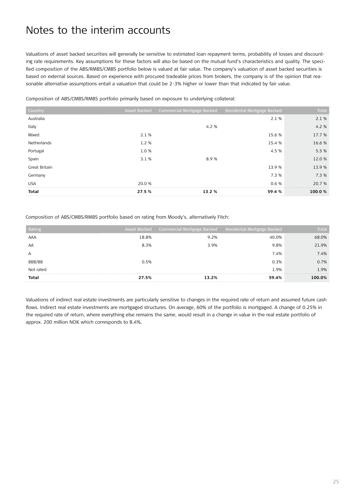Valuations of asset backed securities will generally be sensitive to estimated loan repayment terms, probability of losses and discounting rate requirements. Key assumptions for these factors will also be based on the mutual fund's characteristics and quality. The specified composition of the ABS/RMBS/CMBS portfolio below is valued at fair value. The company's valuation of asset backed securities is based on external sources. Based on experience with procured tradeable prices from brokers, the company is of the opinion that reasonable alternative assumptions entail a valuation that could be 2-3% higher or lower than that indicated by fair value.

Composition of ABS/CMBS/RMBS portfolio primarily based on exposure to underlying collateral:

|              |                            | 13.9 %                     | 13.9%  |
|--------------|----------------------------|----------------------------|--------|
|              |                            |                            |        |
| 3.1%         | 8.9%                       |                            | 12.0 % |
| 1.0%         |                            | 4.5 %                      | 5.5 %  |
| 1.2 %        |                            | 15.4 %                     | 16.6 % |
| 2.1 %        |                            | 15.6 %                     | 17.7 % |
|              | 4.2 %                      |                            | 4.2%   |
|              |                            | 2.1 %                      | 2.1%   |
| Asset Backed | Commercial Mortgage Backed | Residental Mortgage Backed | Total  |
|              |                            |                            |        |

Composition of ABS/CMBS/RMBS portfolio based on rating from Moody's, alternatively Fitch:

| Rating       |       | Asset Backed Commercial Mortgage Backed Residental Mortgage Backed |       | <b>Total</b> |
|--------------|-------|--------------------------------------------------------------------|-------|--------------|
| AAA          | 18.8% | 9.2%                                                               | 40.0% | 68.0%        |
| AA           | 8.3%  | 3.9%                                                               | 9.8%  | 21.9%        |
| А            |       |                                                                    | 7.4%  | 7.4%         |
| BBB/BB       | 0.5%  |                                                                    | 0.3%  | 0.7%         |
| Not rated    |       |                                                                    | 1.9%  | 1.9%         |
| <b>Total</b> | 27.5% | 13.2%                                                              | 59.4% | 100.0%       |

Valuations of indirect real estate investments are particularly sensitive to changes in the required rate of return and assumed future cash flows. Indirect real estate investments are mortgaged structures. On average, 60% of the portfolio is mortgaged. A change of 0.25% in the required rate of return, where everything else remains the same, would result in a change in value in the real estate portfolio of approx. 200 million NOK which corresponds to 8.4%.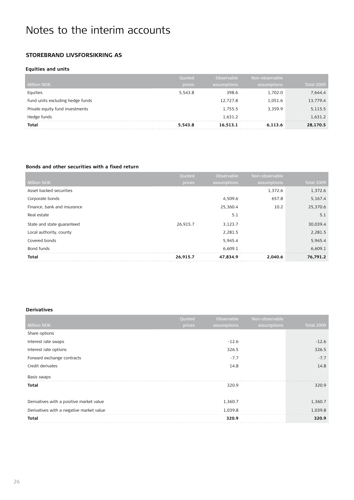### **Storebrand Livsforsikring AS**

### **Equities and units**

|                                  | Quoted  | Observable  | Non-observable |                   |
|----------------------------------|---------|-------------|----------------|-------------------|
| <b>Million NOK</b>               | prices  | assumptions | assumptions    | <b>Total 2009</b> |
| Equities                         | 5,543.8 | 398.6       | 1,702.0        | 7,644.4           |
| Fund units excluding hedge funds |         | 12,727.8    | 1,051.6        | 13,779.4          |
| Private equity fund investments  |         | 1,755.5     | 3.359.9        | 5,115.5           |
| Hedge funds                      |         | 1.631.2     |                | 1,631.2           |
| <b>Total</b>                     | 5,543.8 | 16,513.1    | 6,113.6        | 28,170.5          |

#### **Bonds and other securities with a fixed return**

|                             | Quoted   | Observable  | Non-observable |                   |
|-----------------------------|----------|-------------|----------------|-------------------|
| <b>Million NOK</b>          | prices   | assumptions | assumptions    | <b>Total 2009</b> |
| Asset backed securities     |          |             | 1,372.6        | 1,372.6           |
| Corporate bonds             |          | 4,509.6     | 657.8          | 5,167.4           |
| Finance, bank and insurance |          | 25,360.4    | 10.2           | 25,370.6          |
| Real estate                 |          | 5.1         |                | 5.1               |
| State and state guaranteed  | 26,915.7 | 3,123.7     |                | 30,039.4          |
| Local authority, county     |          | 2,281.5     |                | 2,281.5           |
| Covered bonds               |          | 5,945.4     |                | 5,945.4           |
| Bond funds                  |          | 6,609.1     |                | 6,609.1           |
| <b>Total</b>                | 26,915.7 | 47.834.9    | 2,040.6        | 76,791.2          |

### **Derivatives**

|                                          | Quoted | Observable  | Non-observable |                   |
|------------------------------------------|--------|-------------|----------------|-------------------|
| <b>Million NOK</b>                       | prices | assumptions | assumptions    | <b>Total 2009</b> |
| Share options                            |        |             |                |                   |
| Interest rate swaps                      |        | $-12.6$     |                | $-12.6$           |
| Interest rate options                    |        | 326.5       |                | 326.5             |
| Forward exchange contracts               |        | $-7.7$      |                | $-7.7$            |
| Credit derivates                         |        | 14.8        |                | 14.8              |
| Basis swaps                              |        |             |                |                   |
| <b>Total</b>                             |        | 320.9       |                | 320.9             |
|                                          |        |             |                |                   |
| Derivatives with a positive market value |        | 1,360.7     |                | 1,360.7           |
| Derivatives with a negative market value |        | 1,039.8     |                | 1,039.8           |
| <b>Total</b>                             |        | 320.9       |                | 320.9             |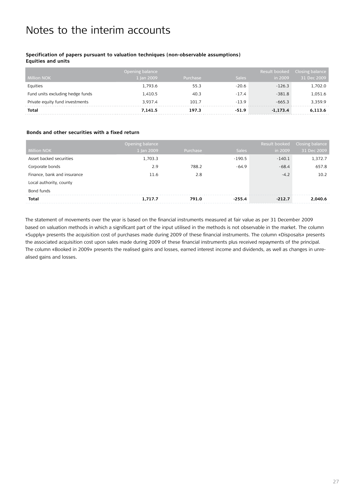### **Specification of papers pursuant to valuation techniques (non-observable assumptions)**

**Equities and units**

|                                  | Opening balance |          |              | Result booked | Closing balance |
|----------------------------------|-----------------|----------|--------------|---------------|-----------------|
| <b>Million NOK</b>               | 1 Jan 2009      | Purchase | <b>Sales</b> | in 2009       | 31 Dec 2009     |
| Equities                         | 1.793.6         | 55.3     | $-20.6$      | $-126.3$      | 1,702.0         |
| Fund units excluding hedge funds | 1.410.5         | 40.3     | $-17.4$      | $-381.8$      | 1,051.6         |
| Private equity fund investments  | 3.937.4         | 101.7    | $-13.9$      | $-665.3$      | 3.359.9         |
| <b>Total</b>                     | 7.141.5         | 197.3    | $-51.9$      | $-1.173.4$    | 6.113.6         |

#### **Bonds and other securities with a fixed return**

|                             | Opening balance |          |              | Result booked | Closing balance |
|-----------------------------|-----------------|----------|--------------|---------------|-----------------|
| <b>Million NOK</b>          | 1 Jan 2009      | Purchase | <b>Sales</b> | in 2009       | 31 Dec 2009     |
| Asset backed securities     | 1,703.3         |          | $-190.5$     | $-140.1$      | 1,372.7         |
| Corporate bonds             | 2.9             | 788.2    | $-64.9$      | $-68.4$       | 657.8           |
| Finance, bank and insurance | 11.6            | 2.8      |              | $-4.2$        | 10.2            |
| Local authority, county     |                 |          |              |               |                 |
| Bond funds                  |                 |          |              |               |                 |
| Total                       | 1.717.7         | 791.0    | $-255.4$     | $-212.7$      | 2.040.6         |

The statement of movements over the year is based on the financial instruments measured at fair value as per 31 December 2009 based on valuation methods in which a significant part of the input utilised in the methods is not observable in the market. The column «Supply» presents the acquisition cost of purchases made during 2009 of these financial instruments. The column «Disposals» presents the associated acquisition cost upon sales made during 2009 of these financial instruments plus received repayments of the principal. The column «Booked in 2009» presents the realised gains and losses, earned interest income and dividends, as well as changes in unrealised gains and losses.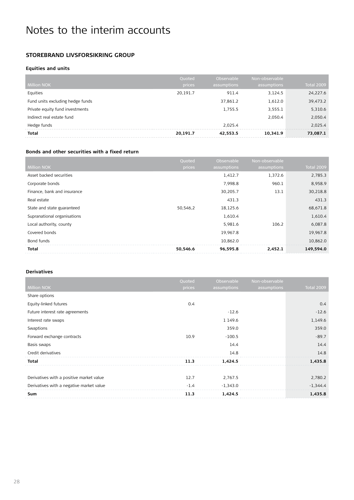### **Storebrand Livsforsikring group**

### **Equities and units**

| <b>Million NOK</b>               | Quoted<br>prices | Observable<br>assumptions | Non-observable<br>assumptions | <b>Total 2009</b> |
|----------------------------------|------------------|---------------------------|-------------------------------|-------------------|
| Equities                         | 20.191.7         | 911.4                     | 3.124.5                       | 24,227.6          |
| Fund units excluding hedge funds |                  | 37,861.2                  | 1,612.0                       | 39,473.2          |
| Private equity fund investments  |                  | 1,755.5                   | 3,555.1                       | 5,310.6           |
| Indirect real estate fund        |                  |                           | 2.050.4                       | 2,050.4           |
| Hedge funds                      |                  | 2.025.4                   |                               | 2.025.4           |
| <b>Total</b>                     | 20,191.7         | 42.553.5                  | 10.341.9                      | 73,087.1          |

#### **Bonds and other securities with a fixed return**

|                             | Quoted   | Observable  | Non-observable |                   |
|-----------------------------|----------|-------------|----------------|-------------------|
| <b>Million NOK</b>          | prices   | assumptions | assumptions    | <b>Total 2009</b> |
| Asset backed securities     |          | 1,412.7     | 1,372.6        | 2,785.3           |
| Corporate bonds             |          | 7.998.8     | 960.1          | 8,958.9           |
| Finance, bank and insurance |          | 30,205.7    | 13.1           | 30,218.8          |
| Real estate                 |          | 431.3       |                | 431.3             |
| State and state guaranteed  | 50,546,2 | 18,125.6    |                | 68,671.8          |
| Supranational organisations |          | 1,610.4     |                | 1,610.4           |
| Local authority, county     |          | 5,981.6     | 106.2          | 6,087.8           |
| Covered bonds               |          | 19,967.8    |                | 19,967.8          |
| Bond funds                  |          | 10,862.0    |                | 10.862.0          |
| Total                       | 50,546.6 | 96,595.8    | 2,452.1        | 149,594.0         |

#### **Derivatives**

|                                          | Quoted | Observable  | Non-observable |                   |
|------------------------------------------|--------|-------------|----------------|-------------------|
| <b>Million NOK</b>                       | prices | assumptions | assumptions    | <b>Total 2009</b> |
| Share options                            |        |             |                |                   |
| Equity-linked futures                    | 0.4    |             |                | 0.4               |
| Future interest rate agreements          |        | $-12.6$     |                | $-12.6$           |
| Interest rate swaps                      |        | 1 1 4 9 . 6 |                | 1,149.6           |
| Swaptions                                |        | 359.0       |                | 359.0             |
| Forward exchange contracts               | 10.9   | $-100.5$    |                | $-89.7$           |
| Basis swaps                              |        | 14.4        |                | 14.4              |
| Credit derivatives                       |        | 14.8        |                | 14.8              |
| <b>Total</b>                             | 11.3   | 1.424.5     |                | 1,435.8           |
|                                          |        |             |                |                   |
| Derivatives with a positive market value | 12.7   | 2,767.5     |                | 2,780.2           |
| Derivatives with a negative market value | $-1.4$ | $-1,343.0$  |                | $-1,344.4$        |
| Sum                                      | 11.3   | 1,424.5     |                | 1,435.8           |
|                                          |        |             |                |                   |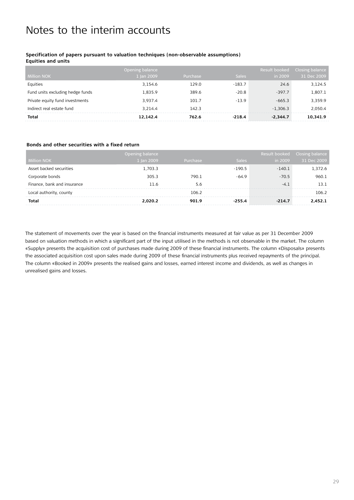### **Specification of papers pursuant to valuation techniques (non-observable assumptions)**

**Equities and units**

|                                  | Opening balance |          |              | Result booked | Closing balance |
|----------------------------------|-----------------|----------|--------------|---------------|-----------------|
| <b>Million NOK</b>               | 1 Jan 2009      | Purchase | <b>Sales</b> | in 2009       | 31 Dec 2009     |
| Equities                         | 3.154.6         | 129.0    | $-183.7$     | 24.6          | 3,124.5         |
| Fund units excluding hedge funds | 1.835.9         | 389.6    | $-20.8$      | $-397.7$      | 1,807.1         |
| Private equity fund investments  | 3.937.4         | 101.7    | $-13.9$      | $-665.3$      | 3.359.9         |
| Indirect real estate fund        | 3.214.4         | 142.3    |              | $-1.306.3$    | 2,050.4         |
| Total                            | 12,142.4        | 762.6    | $-218.4$     | $-2,344.7$    | 10,341.9        |

#### **Bonds and other securities with a fixed return**

|                             | Opening balance |          |              | Result booked | Closing balance |
|-----------------------------|-----------------|----------|--------------|---------------|-----------------|
| <b>Million NOK</b>          | 1 Jan 2009      | Purchase | <b>Sales</b> | in 2009       | 31 Dec 2009     |
| Asset backed securities     | 1,703.3         |          | $-190.5$     | $-140.1$      | 1,372.6         |
| Corporate bonds             | 305.3           | 790.1    | $-64.9$      | $-70.5$       | 960.1           |
| Finance, bank and insurance | 11.6            | 5.6      |              | $-4.1$        | 13.1            |
| Local authority, county     |                 | 106.2    |              |               | 106.2           |
| <b>Total</b>                | 2.020.2         | 901.9    | -255.4       | $-214.7$      | 2.452.1         |

The statement of movements over the year is based on the financial instruments measured at fair value as per 31 December 2009 based on valuation methods in which a significant part of the input utilised in the methods is not observable in the market. The column «Supply» presents the acquisition cost of purchases made during 2009 of these financial instruments. The column «Disposals» presents the associated acquisition cost upon sales made during 2009 of these financial instruments plus received repayments of the principal. The column «Booked in 2009» presents the realised gains and losses, earned interest income and dividends, as well as changes in unrealised gains and losses.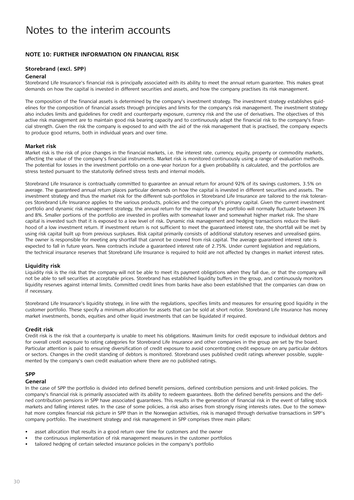### **Note 10: Further information on financial risk**

#### **Storebrand (excl. SPP)**

#### **General**

Storebrand Life Insurance's financial risk is principally associated with its ability to meet the annual return guarantee. This makes great demands on how the capital is invested in different securities and assets, and how the company practises its risk management.

The composition of the financial assets is determined by the company's investment strategy. The investment strategy establishes guidelines for the composition of financial assets through principles and limits for the company's risk management. The investment strategy also includes limits and guidelines for credit and counterparty exposure, currency risk and the use of derivatives. The objectives of this active risk management are to maintain good risk bearing capacity and to continuously adapt the financial risk to the company's financial strength. Given the risk the company is exposed to and with the aid of the risk management that is practised, the company expects to produce good returns, both in individual years and over time.

#### **Market risk**

Market risk is the risk of price changes in the financial markets, i.e. the interest rate, currency, equity, property or commodity markets, affecting the value of the company's financial instruments. Market risk is monitored continuously using a range of evaluation methods. The potential for losses in the investment portfolio on a one-year horizon for a given probability is calculated, and the portfolios are stress tested pursuant to the statutorily defined stress tests and internal models.

Storebrand Life Insurance is contractually committed to guarantee an annual return for around 92% of its savings customers, 3.5% on average. The guaranteed annual return places particular demands on how the capital is invested in different securities and assets. The investment strategy and thus the market risk for the different sub-portfolios in Storebrand Life Insurance are tailored to the risk tolerances Storebrand Life Insurance applies to the various products, policies and the company's primary capital. Given the current investment portfolio and dynamic risk management strategy, the annual return for the majority of the portfolio will normally fluctuate between 3% and 8%. Smaller portions of the portfolio are invested in profiles with somewhat lower and somewhat higher market risk. The share capital is invested such that it is exposed to a low level of risk. Dynamic risk management and hedging transactions reduce the likelihood of a low investment return. If investment return is not sufficient to meet the guaranteed interest rate, the shortfall will be met by using risk capital built up from previous surpluses. Risk capital primarily consists of additional statutory reserves and unrealised gains. The owner is responsible for meeting any shortfall that cannot be covered from risk capital. The average guaranteed interest rate is expected to fall in future years. New contracts include a guaranteed interest rate of 2.75%. Under current legislation and regulations, the technical insurance reserves that Storebrand Life Insurance is required to hold are not affected by changes in market interest rates.

#### **Liquidity risk**

Liquidity risk is the risk that the company will not be able to meet its payment obligations when they fall due, or that the company will not be able to sell securities at acceptable prices. Storebrand has established liquidity buffers in the group, and continuously monitors liquidity reserves against internal limits. Committed credit lines from banks have also been established that the companies can draw on if necessary.

Storebrand Life Insurance's liquidity strategy, in line with the regulations, specifies limits and measures for ensuring good liquidity in the customer portfolio. These specify a minimum allocation for assets that can be sold at short notice. Storebrand Life Insurance has money market investments, bonds, equities and other liquid investments that can be liquidated if required.

#### **Credit risk**

Credit risk is the risk that a counterparty is unable to meet his obligations. Maximum limits for credit exposure to individual debtors and for overall credit exposure to rating categories for Storebrand Life Insurance and other companies in the group are set by the board. Particular attention is paid to ensuring diversification of credit exposure to avoid concentrating credit exposure on any particular debtors or sectors. Changes in the credit standing of debtors is monitored. Storebrand uses published credit ratings wherever possible, supplemented by the company's own credit evaluation where there are no published ratings.

#### **SPP**

#### **General**

In the case of SPP the portfolio is divided into defined benefit pensions, defined contribution pensions and unit-linked policies. The company's financial risk is primarily associated with its ability to redeem guarantees. Both the defined benefits pensions and the defined contribution pensions in SPP have associated guarantees. This results in the generation of financial risk in the event of falling stock markets and falling interest rates. In the case of some policies, a risk also arises from strongly rising interests rates. Due to the somewhat more complex financial risk picture in SPP than in the Norwegian activities, risk is managed through derivative transactions in SPP's company portfolio. The investment strategy and risk management in SPP comprises three main pillars:

- asset allocation that results in a good return over time for customers and the owner
- the continuous implementation of risk management measures in the customer portfolios
- tailored hedging of certain selected insurance policies in the company's portfolio